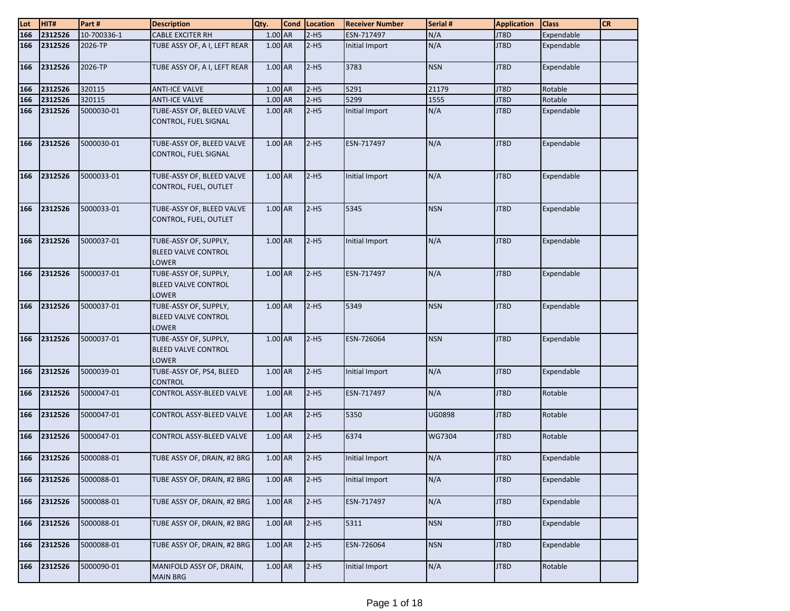| $\frac{\text{Lot}}{166}$ | HIT#    | Part#       | <b>Description</b>                                                  | Qty.      | <b>Cond</b> | Location | <b>Receiver Number</b> | Serial #   | <b>Application</b> | <b>Class</b> | <b>CR</b> |
|--------------------------|---------|-------------|---------------------------------------------------------------------|-----------|-------------|----------|------------------------|------------|--------------------|--------------|-----------|
|                          | 2312526 | 10-700336-1 | <b>CABLE EXCITER RH</b>                                             | $1.00$ AR |             | $2-H5$   | ESN-717497             | N/A        | JT8D               | Expendable   |           |
| 166                      | 2312526 | 2026-TP     | TUBE ASSY OF, A I, LEFT REAR                                        | 1.00 AR   |             | $2-H5$   | Initial Import         | N/A        | JT8D               | Expendable   |           |
| 166                      | 2312526 | 2026-TP     | TUBE ASSY OF, A I, LEFT REAR                                        | 1.00 AR   |             | $2-H5$   | 3783                   | <b>NSN</b> | JT8D               | Expendable   |           |
| 166                      | 2312526 | 320115      | <b>ANTI-ICE VALVE</b>                                               | 1.00 AR   |             | $2-H5$   | 5291                   | 21179      | JT8D               | Rotable      |           |
| 166                      | 2312526 | 320115      | <b>ANTI-ICE VALVE</b>                                               | 1.00 AR   |             | $2-H5$   | 5299                   | 1555       | JT8D               | Rotable      |           |
| 166                      | 2312526 | 5000030-01  | TUBE-ASSY OF, BLEED VALVE<br>CONTROL, FUEL SIGNAL                   | 1.00 AR   |             | $2-H5$   | Initial Import         | N/A        | JT8D               | Expendable   |           |
| 166                      | 2312526 | 5000030-01  | TUBE-ASSY OF, BLEED VALVE<br>CONTROL, FUEL SIGNAL                   | $1.00$ AR |             | $2-H5$   | ESN-717497             | N/A        | JT8D               | Expendable   |           |
| 166                      | 2312526 | 5000033-01  | TUBE-ASSY OF, BLEED VALVE<br>CONTROL, FUEL, OUTLET                  | $1.00$ AR |             | $2-H5$   | Initial Import         | N/A        | JT8D               | Expendable   |           |
| 166                      | 2312526 | 5000033-01  | TUBE-ASSY OF, BLEED VALVE<br>CONTROL, FUEL, OUTLET                  | 1.00 AR   |             | $2-H5$   | 5345                   | <b>NSN</b> | JT8D               | Expendable   |           |
| 166                      | 2312526 | 5000037-01  | TUBE-ASSY OF, SUPPLY,<br><b>BLEED VALVE CONTROL</b><br><b>LOWER</b> | 1.00 AR   |             | $2-H5$   | Initial Import         | N/A        | JT8D               | Expendable   |           |
| 166                      | 2312526 | 5000037-01  | TUBE-ASSY OF, SUPPLY,<br>BLEED VALVE CONTROL<br><b>LOWER</b>        | $1.00$ AR |             | $2-H5$   | ESN-717497             | N/A        | JT8D               | Expendable   |           |
| 166                      | 2312526 | 5000037-01  | TUBE-ASSY OF, SUPPLY,<br><b>BLEED VALVE CONTROL</b><br>LOWER        | $1.00$ AR |             | $2-H5$   | 5349                   | <b>NSN</b> | JT8D               | Expendable   |           |
| 166                      | 2312526 | 5000037-01  | TUBE-ASSY OF, SUPPLY,<br><b>BLEED VALVE CONTROL</b><br>LOWER        | 1.00 AR   |             | $2-H5$   | ESN-726064             | <b>NSN</b> | JT8D               | Expendable   |           |
| 166                      | 2312526 | 5000039-01  | TUBE-ASSY OF, PS4, BLEED<br><b>CONTROL</b>                          | 1.00 AR   |             | $2-H5$   | Initial Import         | N/A        | JT8D               | Expendable   |           |
| 166                      | 2312526 | 5000047-01  | CONTROL ASSY-BLEED VALVE                                            | 1.00 AR   |             | $2-H5$   | ESN-717497             | N/A        | JT8D               | Rotable      |           |
| 166                      | 2312526 | 5000047-01  | CONTROL ASSY-BLEED VALVE                                            | 1.00 AR   |             | $2-H5$   | 5350                   | UG0898     | JT8D               | Rotable      |           |
| 166                      | 2312526 | 5000047-01  | CONTROL ASSY-BLEED VALVE                                            | 1.00 AR   |             | $2-H5$   | 6374                   | WG7304     | JT8D               | Rotable      |           |
| 166                      | 2312526 | 5000088-01  | TUBE ASSY OF, DRAIN, #2 BRG                                         | $1.00$ AR |             | $2-H5$   | Initial Import         | N/A        | JT8D               | Expendable   |           |
| 166                      | 2312526 | 5000088-01  | TUBE ASSY OF, DRAIN, #2 BRG                                         | $1.00$ AR |             | $2-H5$   | Initial Import         | N/A        | JT8D               | Expendable   |           |
| 166                      | 2312526 | 5000088-01  | TUBE ASSY OF, DRAIN, #2 BRG                                         | 1.00 AR   |             | $2-H5$   | ESN-717497             | N/A        | JT8D               | Expendable   |           |
| 166                      | 2312526 | 5000088-01  | TUBE ASSY OF, DRAIN, #2 BRG                                         | 1.00 AR   |             | $2-H5$   | 5311                   | <b>NSN</b> | JT8D               | Expendable   |           |
| 166                      | 2312526 | 5000088-01  | TUBE ASSY OF, DRAIN, #2 BRG                                         | $1.00$ AR |             | $2-H5$   | ESN-726064             | <b>NSN</b> | JT8D               | Expendable   |           |
| 166                      | 2312526 | 5000090-01  | MANIFOLD ASSY OF, DRAIN,<br><b>MAIN BRG</b>                         | 1.00 AR   |             | $2-H5$   | Initial Import         | N/A        | JT8D               | Rotable      |           |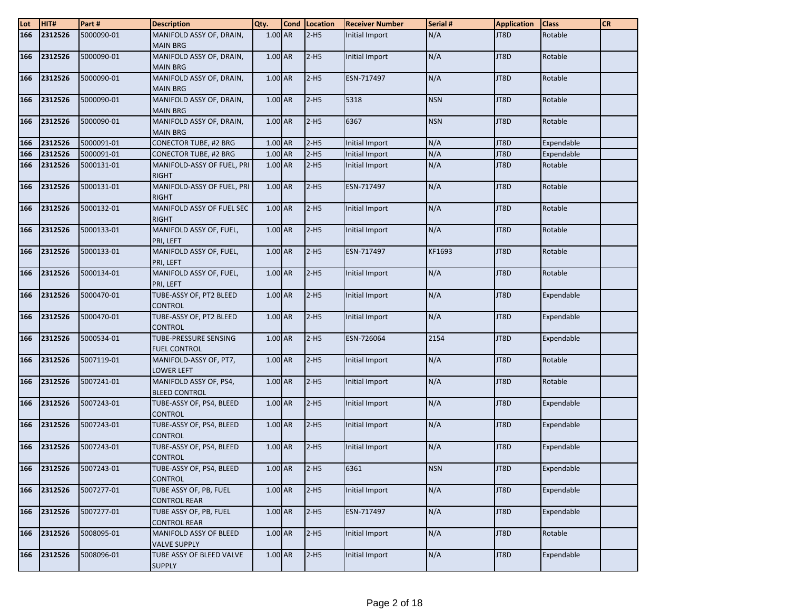| Lot | HIT#    | Part#      | <b>Description</b>                                  | Qty.      | Cond Location | <b>Receiver Number</b> | Serial #   | <b>Application</b> | <b>Class</b> | <b>CR</b> |
|-----|---------|------------|-----------------------------------------------------|-----------|---------------|------------------------|------------|--------------------|--------------|-----------|
| 166 | 2312526 | 5000090-01 | MANIFOLD ASSY OF, DRAIN,<br><b>MAIN BRG</b>         | $1.00$ AR | $2-H5$        | Initial Import         | N/A        | JT8D               | Rotable      |           |
| 166 | 2312526 | 5000090-01 | MANIFOLD ASSY OF, DRAIN,<br><b>MAIN BRG</b>         | 1.00 AR   | $2-H5$        | Initial Import         | N/A        | JT8D               | Rotable      |           |
| 166 | 2312526 | 5000090-01 | MANIFOLD ASSY OF, DRAIN,<br><b>MAIN BRG</b>         | 1.00 AR   | $2-H5$        | ESN-717497             | N/A        | JT8D               | Rotable      |           |
| 166 | 2312526 | 5000090-01 | MANIFOLD ASSY OF, DRAIN,<br><b>MAIN BRG</b>         | 1.00 AR   | $2-H5$        | 5318                   | <b>NSN</b> | JT8D               | Rotable      |           |
| 166 | 2312526 | 5000090-01 | MANIFOLD ASSY OF, DRAIN,<br><b>MAIN BRG</b>         | 1.00 AR   | $2-H5$        | 6367                   | <b>NSN</b> | JT8D               | Rotable      |           |
| 166 | 2312526 | 5000091-01 | <b>CONECTOR TUBE, #2 BRG</b>                        | 1.00 AR   | $2-H5$        | Initial Import         | N/A        | JT8D               | Expendable   |           |
| 166 | 2312526 | 5000091-01 | <b>CONECTOR TUBE, #2 BRG</b>                        | $1.00$ AR | $2-H5$        | Initial Import         | N/A        | JT8D               | Expendable   |           |
| 166 | 2312526 | 5000131-01 | MANIFOLD-ASSY OF FUEL, PRI<br><b>RIGHT</b>          | 1.00 AR   | $2-H5$        | Initial Import         | N/A        | JT8D               | Rotable      |           |
| 166 | 2312526 | 5000131-01 | MANIFOLD-ASSY OF FUEL, PRI<br><b>RIGHT</b>          | 1.00 AR   | $2-H5$        | ESN-717497             | N/A        | JT8D               | Rotable      |           |
| 166 | 2312526 | 5000132-01 | MANIFOLD ASSY OF FUEL SEC<br><b>RIGHT</b>           | 1.00 AR   | $2-H5$        | Initial Import         | N/A        | JT8D               | Rotable      |           |
| 166 | 2312526 | 5000133-01 | MANIFOLD ASSY OF, FUEL,<br>PRI, LEFT                | 1.00 AR   | $2-H5$        | Initial Import         | N/A        | JT8D               | Rotable      |           |
| 166 | 2312526 | 5000133-01 | MANIFOLD ASSY OF, FUEL,<br>PRI, LEFT                | 1.00 AR   | $2-H5$        | ESN-717497             | KF1693     | JT8D               | Rotable      |           |
| 166 | 2312526 | 5000134-01 | MANIFOLD ASSY OF, FUEL,<br>PRI, LEFT                | 1.00 AR   | $2-H5$        | Initial Import         | N/A        | JT8D               | Rotable      |           |
| 166 | 2312526 | 5000470-01 | TUBE-ASSY OF, PT2 BLEED<br><b>CONTROL</b>           | 1.00 AR   | $2-H5$        | Initial Import         | N/A        | JT8D               | Expendable   |           |
| 166 | 2312526 | 5000470-01 | TUBE-ASSY OF, PT2 BLEED<br><b>CONTROL</b>           | $1.00$ AR | $2-H5$        | Initial Import         | N/A        | JT8D               | Expendable   |           |
| 166 | 2312526 | 5000534-01 | <b>TUBE-PRESSURE SENSING</b><br><b>FUEL CONTROL</b> | 1.00 AR   | $2-H5$        | ESN-726064             | 2154       | JT8D               | Expendable   |           |
| 166 | 2312526 | 5007119-01 | MANIFOLD-ASSY OF, PT7,<br><b>LOWER LEFT</b>         | 1.00 AR   | $2-H5$        | Initial Import         | N/A        | JT8D               | Rotable      |           |
| 166 | 2312526 | 5007241-01 | MANIFOLD ASSY OF, PS4,<br><b>BLEED CONTROL</b>      | 1.00 AR   | $2-H5$        | Initial Import         | N/A        | JT8D               | Rotable      |           |
| 166 | 2312526 | 5007243-01 | TUBE-ASSY OF, PS4, BLEED<br><b>CONTROL</b>          | 1.00 AR   | $2-H5$        | Initial Import         | N/A        | JT8D               | Expendable   |           |
| 166 | 2312526 | 5007243-01 | TUBE-ASSY OF, PS4, BLEED<br><b>CONTROL</b>          | 1.00 AR   | $2-H5$        | Initial Import         | N/A        | JT8D               | Expendable   |           |
| 166 | 2312526 | 5007243-01 | TUBE-ASSY OF, PS4, BLEED<br><b>CONTROL</b>          | 1.00 AR   | $2-H5$        | Initial Import         | N/A        | JT8D               | Expendable   |           |
| 166 | 2312526 | 5007243-01 | TUBE-ASSY OF, PS4, BLEED<br><b>CONTROL</b>          | 1.00 AR   | $2-H5$        | 6361                   | <b>NSN</b> | JT8D               | Expendable   |           |
| 166 | 2312526 | 5007277-01 | TUBE ASSY OF, PB, FUEL<br><b>CONTROL REAR</b>       | 1.00 AR   | $2-H5$        | Initial Import         | N/A        | JT8D               | Expendable   |           |
| 166 | 2312526 | 5007277-01 | TUBE ASSY OF, PB, FUEL<br><b>CONTROL REAR</b>       | $1.00$ AR | $2-H5$        | ESN-717497             | N/A        | JT8D               | Expendable   |           |
| 166 | 2312526 | 5008095-01 | MANIFOLD ASSY OF BLEED<br><b>VALVE SUPPLY</b>       | 1.00 AR   | $2-H5$        | Initial Import         | N/A        | JT8D               | Rotable      |           |
| 166 | 2312526 | 5008096-01 | TUBE ASSY OF BLEED VALVE<br><b>SUPPLY</b>           | $1.00$ AR | $2-H5$        | Initial Import         | N/A        | JT8D               | Expendable   |           |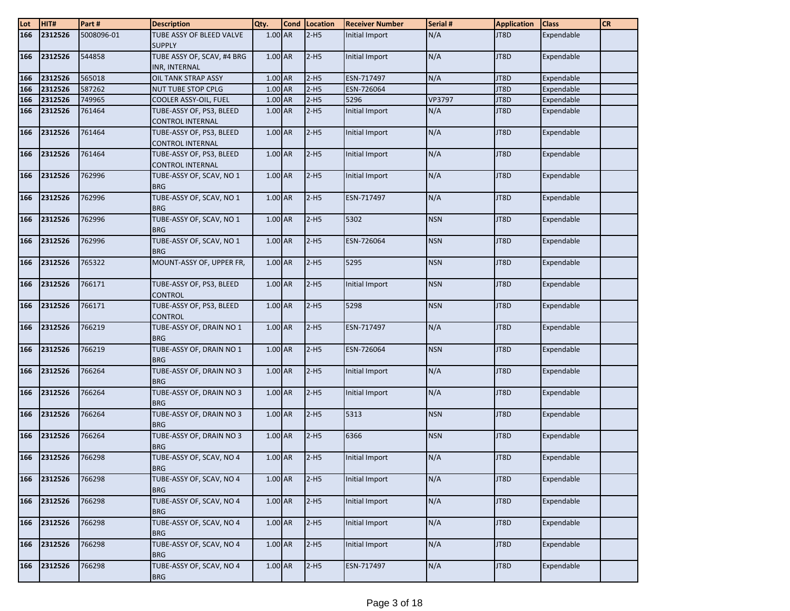| Lot | HIT#    | Part#      | <b>Description</b>                          | Qty.      | <b>Cond</b> | Location | <b>Receiver Number</b> | Serial #   | <b>Application</b> | <b>Class</b> | <b>CR</b> |
|-----|---------|------------|---------------------------------------------|-----------|-------------|----------|------------------------|------------|--------------------|--------------|-----------|
| 166 | 2312526 | 5008096-01 | TUBE ASSY OF BLEED VALVE                    | $1.00$ AR |             | $2-H5$   | Initial Import         | N/A        | JT8D               | Expendable   |           |
|     |         |            | <b>SUPPLY</b>                               |           |             |          |                        |            |                    |              |           |
| 166 | 2312526 | 544858     | TUBE ASSY OF, SCAV, #4 BRG<br>INR, INTERNAL | $1.00$ AR |             | $2-H5$   | Initial Import         | N/A        | JT8D               | Expendable   |           |
| 166 | 2312526 | 565018     | <b>OIL TANK STRAP ASSY</b>                  | 1.00 AR   |             | $2-H5$   | ESN-717497             | N/A        | JT8D               | Expendable   |           |
| 166 | 2312526 | 587262     | NUT TUBE STOP CPLG                          | 1.00 AR   |             | $2-H5$   | ESN-726064             |            | JT8D               | Expendable   |           |
| 166 | 2312526 | 749965     | COOLER ASSY-OIL, FUEL                       | 1.00 AR   |             | $2-H5$   | 5296                   | VP3797     | JT8D               | Expendable   |           |
| 166 | 2312526 | 761464     | TUBE-ASSY OF, PS3, BLEED                    | 1.00 AR   |             | $2-H5$   | Initial Import         | N/A        | JT8D               | Expendable   |           |
|     |         |            | CONTROL INTERNAL                            |           |             |          |                        |            |                    |              |           |
| 166 | 2312526 | 761464     | TUBE-ASSY OF, PS3, BLEED                    | 1.00 AR   |             | $2-H5$   | Initial Import         | N/A        | JT8D               | Expendable   |           |
|     |         |            | CONTROL INTERNAL                            |           |             |          |                        |            |                    |              |           |
| 166 | 2312526 | 761464     | TUBE-ASSY OF, PS3, BLEED                    | 1.00 AR   |             | $2-H5$   | Initial Import         | N/A        | JT8D               | Expendable   |           |
|     |         |            | <b>CONTROL INTERNAL</b>                     |           |             |          |                        |            |                    |              |           |
| 166 | 2312526 | 762996     | TUBE-ASSY OF, SCAV, NO 1<br><b>BRG</b>      | 1.00 AR   |             | $2-H5$   | Initial Import         | N/A        | JT8D               | Expendable   |           |
| 166 | 2312526 | 762996     | TUBE-ASSY OF, SCAV, NO 1                    | 1.00 AR   |             | $2-H5$   | ESN-717497             | N/A        | JT8D               | Expendable   |           |
|     |         |            | <b>BRG</b>                                  |           |             |          |                        |            |                    |              |           |
| 166 | 2312526 | 762996     | TUBE-ASSY OF, SCAV, NO 1                    | 1.00 AR   |             | $2-H5$   | 5302                   | <b>NSN</b> | JT8D               | Expendable   |           |
|     |         |            | <b>BRG</b>                                  |           |             |          |                        |            |                    |              |           |
| 166 | 2312526 | 762996     | TUBE-ASSY OF, SCAV, NO 1                    | 1.00 AR   |             | $2-H5$   | ESN-726064             | <b>NSN</b> | JT8D               | Expendable   |           |
|     |         |            | BRG                                         |           |             |          |                        |            |                    |              |           |
| 166 | 2312526 | 765322     | MOUNT-ASSY OF, UPPER FR,                    | 1.00 AR   |             | $2-H5$   | 5295                   | <b>NSN</b> | JT8D               | Expendable   |           |
| 166 | 2312526 | 766171     | TUBE-ASSY OF, PS3, BLEED                    | 1.00 AR   |             | $2-H5$   | Initial Import         | <b>NSN</b> | JT8D               | Expendable   |           |
|     |         |            | CONTROL                                     |           |             |          |                        |            |                    |              |           |
| 166 | 2312526 | 766171     | TUBE-ASSY OF, PS3, BLEED                    | 1.00 AR   |             | $2-H5$   | 5298                   | <b>NSN</b> | JT8D               | Expendable   |           |
|     |         |            | CONTROL                                     |           |             |          |                        |            |                    |              |           |
| 166 | 2312526 | 766219     | TUBE-ASSY OF, DRAIN NO 1                    | 1.00 AR   |             | $2-H5$   | ESN-717497             | N/A        | JT8D               | Expendable   |           |
|     |         |            | <b>BRG</b>                                  |           |             |          |                        |            |                    |              |           |
| 166 | 2312526 | 766219     | TUBE-ASSY OF, DRAIN NO 1                    | 1.00 AR   |             | $2-H5$   | ESN-726064             | <b>NSN</b> | JT8D               | Expendable   |           |
|     |         |            | BRG                                         |           |             |          |                        |            |                    |              |           |
| 166 | 2312526 | 766264     | TUBE-ASSY OF, DRAIN NO 3                    | 1.00 AR   |             | $2-H5$   | Initial Import         | N/A        | JT8D               | Expendable   |           |
|     |         |            | <b>BRG</b>                                  |           |             |          |                        |            |                    |              |           |
| 166 | 2312526 | 766264     | TUBE-ASSY OF, DRAIN NO 3                    | 1.00 AR   |             | $2-H5$   | Initial Import         | N/A        | JT8D               | Expendable   |           |
|     |         |            | <b>BRG</b>                                  |           |             |          |                        |            |                    |              |           |
| 166 | 2312526 | 766264     | TUBE-ASSY OF, DRAIN NO 3                    | 1.00 AR   |             | $2-H5$   | 5313                   | <b>NSN</b> | JT8D               | Expendable   |           |
|     | 2312526 |            | <b>BRG</b>                                  |           |             | $2-H5$   | 6366                   | <b>NSN</b> | JT8D               |              |           |
| 166 |         | 766264     | TUBE-ASSY OF, DRAIN NO 3<br><b>BRG</b>      | 1.00 AR   |             |          |                        |            |                    | Expendable   |           |
| 166 | 2312526 | 766298     | TUBE-ASSY OF, SCAV, NO 4                    | $1.00$ AR |             | $2-H5$   | Initial Import         | N/A        | JT8D               | Expendable   |           |
|     |         |            | <b>BRG</b>                                  |           |             |          |                        |            |                    |              |           |
| 166 | 2312526 | 766298     | TUBE-ASSY OF, SCAV, NO 4                    | $1.00$ AR |             | $2-H5$   | Initial Import         | N/A        | JT8D               | Expendable   |           |
|     |         |            | <b>BRG</b>                                  |           |             |          |                        |            |                    |              |           |
| 166 | 2312526 | 766298     | TUBE-ASSY OF, SCAV, NO 4                    | 1.00 AR   |             | $2-H5$   | Initial Import         | N/A        | JT8D               | Expendable   |           |
|     |         |            | <b>BRG</b>                                  |           |             |          |                        |            |                    |              |           |
| 166 | 2312526 | 766298     | TUBE-ASSY OF, SCAV, NO 4                    | 1.00 AR   |             | $2-H5$   | Initial Import         | N/A        | JT8D               | Expendable   |           |
|     |         |            | <b>BRG</b>                                  |           |             |          |                        |            |                    |              |           |
| 166 | 2312526 | 766298     | TUBE-ASSY OF, SCAV, NO 4                    | $1.00$ AR |             | $2-H5$   | Initial Import         | N/A        | JT8D               | Expendable   |           |
|     |         |            | <b>BRG</b>                                  |           |             |          |                        |            |                    |              |           |
| 166 | 2312526 | 766298     | TUBE-ASSY OF, SCAV, NO 4                    | 1.00 AR   |             | $2-H5$   | ESN-717497             | N/A        | JT8D               | Expendable   |           |
|     |         |            | <b>BRG</b>                                  |           |             |          |                        |            |                    |              |           |
|     |         |            |                                             |           |             |          |                        |            |                    |              |           |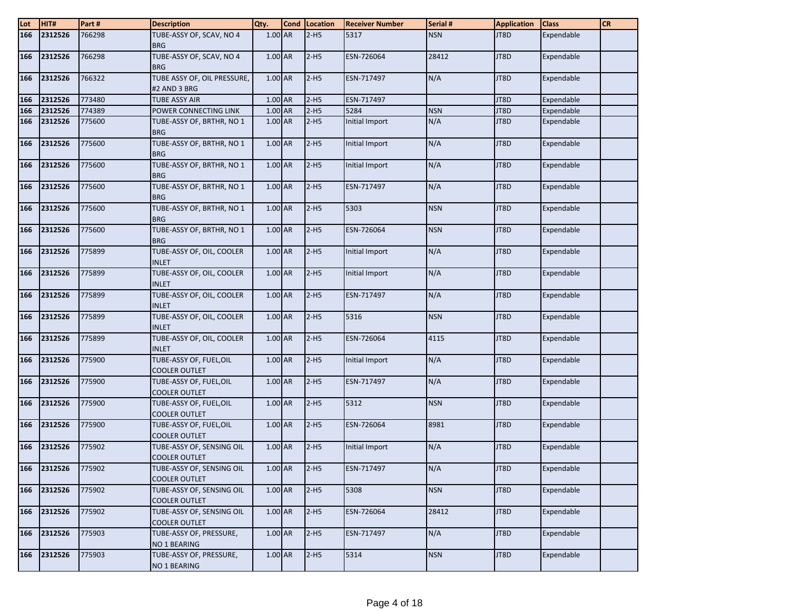| Lot | HIT#        | Part#  | <b>Description</b>                                | Qty.      | Cond Location | <b>Receiver Number</b> | Serial #   | <b>Application</b> | <b>Class</b> | <b>CR</b> |
|-----|-------------|--------|---------------------------------------------------|-----------|---------------|------------------------|------------|--------------------|--------------|-----------|
| 166 | 2312526     | 766298 | TUBE-ASSY OF, SCAV, NO 4                          | 1.00 AR   | $2-H5$        | 5317                   | <b>NSN</b> | JT8D               | Expendable   |           |
|     |             |        | <b>BRG</b>                                        |           |               |                        |            |                    |              |           |
| 166 | 2312526     | 766298 | TUBE-ASSY OF, SCAV, NO 4                          | 1.00 AR   | $2-H5$        | ESN-726064             | 28412      | JT8D               | Expendable   |           |
|     |             |        | <b>BRG</b>                                        |           |               |                        |            |                    |              |           |
| 166 | 2312526     | 766322 | TUBE ASSY OF, OIL PRESSURE,                       | 1.00 AR   | $2-H5$        | ESN-717497             | N/A        | JT8D               | Expendable   |           |
|     |             |        | #2 AND 3 BRG                                      |           |               |                        |            |                    |              |           |
| 166 | 2312526     | 773480 | <b>TUBE ASSY AIR</b>                              | 1.00 AR   | $2-H5$        | ESN-717497             |            | JT8D               | Expendable   |           |
| 166 | 2312526     | 774389 | POWER CONNECTING LINK                             | 1.00 AR   | $2-H5$        | 5284                   | <b>NSN</b> | JT8D               | Expendable   |           |
| 166 | 2312526     | 775600 | TUBE-ASSY OF, BRTHR, NO 1                         | 1.00 AR   | $2-H5$        | Initial Import         | N/A        | JT8D               | Expendable   |           |
|     |             |        | <b>BRG</b>                                        |           |               |                        |            |                    |              |           |
| 166 | 2312526     | 775600 | TUBE-ASSY OF, BRTHR, NO 1                         | 1.00 AR   | $2-H5$        | Initial Import         | N/A        | JT8D               | Expendable   |           |
|     |             |        | <b>BRG</b>                                        |           |               |                        |            |                    |              |           |
| 166 | 2312526     | 775600 | TUBE-ASSY OF, BRTHR, NO 1                         | 1.00 AR   | $2-H5$        | Initial Import         | N/A        | JT8D               | Expendable   |           |
|     |             |        | <b>BRG</b>                                        |           |               |                        |            |                    |              |           |
| 166 | 2312526     | 775600 | TUBE-ASSY OF, BRTHR, NO 1                         | 1.00 AR   | $2-H5$        | ESN-717497             | N/A        | JT8D               | Expendable   |           |
| 166 |             |        | <b>BRG</b>                                        |           |               |                        |            |                    |              |           |
|     | 2312526     | 775600 | TUBE-ASSY OF, BRTHR, NO 1<br><b>BRG</b>           | 1.00 AR   | $2-H5$        | 5303                   | <b>NSN</b> | JT8D               | Expendable   |           |
| 166 | 2312526     | 775600 | TUBE-ASSY OF, BRTHR, NO 1                         | 1.00 AR   | $2-H5$        | ESN-726064             | <b>NSN</b> | JT8D               | Expendable   |           |
|     |             |        | <b>BRG</b>                                        |           |               |                        |            |                    |              |           |
| 166 | 2312526     | 775899 | TUBE-ASSY OF, OIL, COOLER                         | 1.00 AR   | $2-H5$        | Initial Import         | N/A        | JT8D               | Expendable   |           |
|     |             |        | <b>INLET</b>                                      |           |               |                        |            |                    |              |           |
| 166 | 2312526     | 775899 | TUBE-ASSY OF, OIL, COOLER                         | 1.00 AR   | $2-H5$        | Initial Import         | N/A        | JT8D               | Expendable   |           |
|     |             |        | <b>INLET</b>                                      |           |               |                        |            |                    |              |           |
| 166 | 2312526     | 775899 | TUBE-ASSY OF, OIL, COOLER                         | 1.00 AR   | $2-H5$        | ESN-717497             | N/A        | JT8D               | Expendable   |           |
|     |             |        | <b>INLET</b>                                      |           |               |                        |            |                    |              |           |
| 166 | 2312526     | 775899 | TUBE-ASSY OF, OIL, COOLER                         | 1.00 AR   | $2-H5$        | 5316                   | <b>NSN</b> | JT8D               | Expendable   |           |
|     |             |        | <b>INLET</b>                                      |           |               |                        |            |                    |              |           |
| 166 | 2312526     | 775899 | TUBE-ASSY OF, OIL, COOLER                         | 1.00 AR   | $2-H5$        | ESN-726064             | 4115       | JT8D               | Expendable   |           |
|     |             |        | INLET                                             |           |               |                        |            |                    |              |           |
| 166 | 2312526     | 775900 | TUBE-ASSY OF, FUEL, OIL                           | 1.00 AR   | $2-H5$        | Initial Import         | N/A        | JT8D               | Expendable   |           |
|     |             |        | <b>COOLER OUTLET</b>                              |           |               |                        |            |                    |              |           |
| 166 | 2312526     | 775900 | TUBE-ASSY OF, FUEL, OIL                           | 1.00 AR   | $2-H5$        | ESN-717497             | N/A        | JT8D               | Expendable   |           |
|     |             |        | <b>COOLER OUTLET</b>                              |           |               |                        |            |                    |              |           |
| 166 | 2312526     | 775900 | TUBE-ASSY OF, FUEL,OIL                            | 1.00 AR   | $2-H5$        | 5312                   | <b>NSN</b> | JT8D               | Expendable   |           |
|     |             |        | COOLER OUTLET                                     |           |               |                        |            |                    |              |           |
| 166 | 2312526     | 775900 | TUBE-ASSY OF, FUEL, OIL                           | $1.00$ AR | $2-H5$        | ESN-726064             | 8981       | JT8D               | Expendable   |           |
| 166 |             | 775902 | <b>COOLER OUTLET</b>                              | 1.00 AR   | $2-H5$        |                        | N/A        | JT8D               |              |           |
|     | 2312526     |        | TUBE-ASSY OF, SENSING OIL<br><b>COOLER OUTLET</b> |           |               | Initial Import         |            |                    | Expendable   |           |
|     | 166 2312526 | 775902 | TUBE-ASSY OF, SENSING OIL                         | $1.00$ AR | $2-H5$        | ESN-717497             | N/A        | JT8D               | Expendable   |           |
|     |             |        | COOLER OUTLET                                     |           |               |                        |            |                    |              |           |
| 166 | 2312526     | 775902 | TUBE-ASSY OF, SENSING OIL                         | $1.00$ AR | $2-H5$        | 5308                   | <b>NSN</b> | JT8D               | Expendable   |           |
|     |             |        | <b>COOLER OUTLET</b>                              |           |               |                        |            |                    |              |           |
| 166 | 2312526     | 775902 | TUBE-ASSY OF, SENSING OIL                         | 1.00 AR   | $2-H5$        | ESN-726064             | 28412      | JT8D               | Expendable   |           |
|     |             |        | <b>COOLER OUTLET</b>                              |           |               |                        |            |                    |              |           |
| 166 | 2312526     | 775903 | TUBE-ASSY OF, PRESSURE,                           | $1.00$ AR | $2-H5$        | ESN-717497             | N/A        | JT8D               | Expendable   |           |
|     |             |        | NO 1 BEARING                                      |           |               |                        |            |                    |              |           |
| 166 | 2312526     | 775903 | TUBE-ASSY OF, PRESSURE,                           | $1.00$ AR | $2-H5$        | 5314                   | <b>NSN</b> | JT8D               | Expendable   |           |
|     |             |        | NO 1 BEARING                                      |           |               |                        |            |                    |              |           |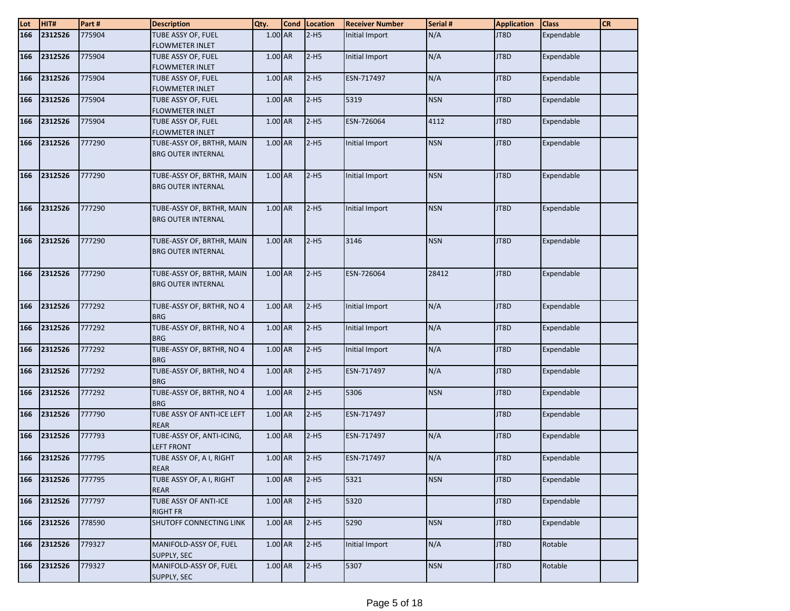| $\frac{\text{Lot}}{166}$ | HIT#    | Part#  | <b>Description</b>         | Qty.      | <b>Cond</b> | Location | <b>Receiver Number</b> | Serial #   | <b>Application</b> | <b>Class</b> | <b>CR</b> |
|--------------------------|---------|--------|----------------------------|-----------|-------------|----------|------------------------|------------|--------------------|--------------|-----------|
|                          | 2312526 | 775904 | TUBE ASSY OF, FUEL         | 1.00 AR   |             | $2-H5$   | Initial Import         | N/A        | JT8D               | Expendable   |           |
|                          |         |        | <b>FLOWMETER INLET</b>     |           |             |          |                        |            |                    |              |           |
| 166                      | 2312526 | 775904 | TUBE ASSY OF, FUEL         | 1.00 AR   |             | $2-H5$   | Initial Import         | N/A        | JT8D               | Expendable   |           |
|                          |         |        | <b>FLOWMETER INLET</b>     |           |             |          |                        |            |                    |              |           |
| 166                      | 2312526 | 775904 | TUBE ASSY OF, FUEL         | 1.00 AR   |             | $2-H5$   | ESN-717497             | N/A        | JT8D               | Expendable   |           |
|                          |         |        | <b>FLOWMETER INLET</b>     |           |             |          |                        |            |                    |              |           |
| 166                      | 2312526 | 775904 | TUBE ASSY OF, FUEL         | 1.00 AR   |             | $2-H5$   | 5319                   | <b>NSN</b> | JT8D               | Expendable   |           |
|                          |         |        | <b>FLOWMETER INLET</b>     |           |             |          |                        |            |                    |              |           |
| 166                      | 2312526 | 775904 | TUBE ASSY OF, FUEL         | 1.00 AR   |             | $2-H5$   | ESN-726064             | 4112       | JT8D               | Expendable   |           |
|                          |         |        | <b>FLOWMETER INLET</b>     |           |             |          |                        |            |                    |              |           |
| 166                      | 2312526 | 777290 | TUBE-ASSY OF, BRTHR, MAIN  | 1.00 AR   |             | $2-H5$   | Initial Import         | <b>NSN</b> | JT8D               | Expendable   |           |
|                          |         |        | <b>BRG OUTER INTERNAL</b>  |           |             |          |                        |            |                    |              |           |
|                          |         |        |                            |           |             |          |                        |            |                    |              |           |
| 166                      | 2312526 | 777290 | TUBE-ASSY OF, BRTHR, MAIN  | 1.00 AR   |             | $2-H5$   | Initial Import         | <b>NSN</b> | JT8D               | Expendable   |           |
|                          |         |        | <b>BRG OUTER INTERNAL</b>  |           |             |          |                        |            |                    |              |           |
| 166                      |         |        | TUBE-ASSY OF, BRTHR, MAIN  | 1.00 AR   |             | $2-H5$   |                        | <b>NSN</b> | JT8D               | Expendable   |           |
|                          | 2312526 | 777290 | <b>BRG OUTER INTERNAL</b>  |           |             |          | Initial Import         |            |                    |              |           |
|                          |         |        |                            |           |             |          |                        |            |                    |              |           |
| 166                      | 2312526 | 777290 | TUBE-ASSY OF, BRTHR, MAIN  | 1.00 AR   |             | $2-H5$   | 3146                   | <b>NSN</b> | JT8D               | Expendable   |           |
|                          |         |        | <b>BRG OUTER INTERNAL</b>  |           |             |          |                        |            |                    |              |           |
|                          |         |        |                            |           |             |          |                        |            |                    |              |           |
| 166                      | 2312526 | 777290 | TUBE-ASSY OF, BRTHR, MAIN  | $1.00$ AR |             | $2-H5$   | ESN-726064             | 28412      | JT8D               | Expendable   |           |
|                          |         |        | <b>BRG OUTER INTERNAL</b>  |           |             |          |                        |            |                    |              |           |
|                          |         |        |                            |           |             |          |                        |            |                    |              |           |
| 166                      | 2312526 | 777292 | TUBE-ASSY OF, BRTHR, NO 4  | 1.00 AR   |             | $2-H5$   | Initial Import         | N/A        | JT8D               | Expendable   |           |
|                          |         |        | <b>BRG</b>                 |           |             |          |                        |            |                    |              |           |
| 166                      | 2312526 | 777292 | TUBE-ASSY OF, BRTHR, NO 4  | 1.00 AR   |             | $2-H5$   | Initial Import         | N/A        | JT8D               | Expendable   |           |
|                          |         |        | <b>BRG</b>                 |           |             |          |                        |            |                    |              |           |
| 166                      | 2312526 | 777292 | TUBE-ASSY OF, BRTHR, NO 4  | 1.00 AR   |             | $2-H5$   | Initial Import         | N/A        | JT8D               | Expendable   |           |
|                          |         |        | <b>BRG</b>                 |           |             |          |                        |            |                    |              |           |
| 166                      | 2312526 | 777292 | TUBE-ASSY OF, BRTHR, NO 4  | $1.00$ AR |             | $2-H5$   | ESN-717497             | N/A        | JT8D               | Expendable   |           |
|                          |         |        | <b>BRG</b>                 |           |             |          |                        |            |                    |              |           |
| 166                      | 2312526 | 777292 | TUBE-ASSY OF, BRTHR, NO 4  | 1.00 AR   |             | $2-H5$   | 5306                   | <b>NSN</b> | JT8D               | Expendable   |           |
|                          |         |        | <b>BRG</b>                 |           |             |          |                        |            |                    |              |           |
| 166                      | 2312526 | 777790 | TUBE ASSY OF ANTI-ICE LEFT | $1.00$ AR |             | $2-H5$   | ESN-717497             |            | JT8D               | Expendable   |           |
|                          |         |        | <b>REAR</b>                |           |             |          |                        |            |                    |              |           |
| 166                      | 2312526 | 777793 | TUBE-ASSY OF, ANTI-ICING,  | 1.00 AR   |             | $2-H5$   | ESN-717497             | N/A        | JT8D               | Expendable   |           |
|                          |         |        | <b>LEFT FRONT</b>          |           |             |          |                        |            |                    |              |           |
| 166                      | 2312526 | 777795 | TUBE ASSY OF, A I, RIGHT   | $1.00$ AR |             | $2-H5$   | ESN-717497             | N/A        | JT8D               | Expendable   |           |
|                          |         |        | <b>REAR</b>                |           |             |          |                        |            |                    |              |           |
| 166                      | 2312526 | 777795 | TUBE ASSY OF, A I, RIGHT   | 1.00 AR   |             | $2-H5$   | 5321                   | <b>NSN</b> | JT8D               | Expendable   |           |
|                          |         |        | <b>REAR</b>                |           |             |          |                        |            |                    |              |           |
| 166                      | 2312526 | 777797 | TUBE ASSY OF ANTI-ICE      | 1.00 AR   |             | $2-H5$   | 5320                   |            | JT8D               | Expendable   |           |
|                          |         |        | <b>RIGHT FR</b>            |           |             |          |                        |            |                    |              |           |
| 166                      | 2312526 | 778590 | SHUTOFF CONNECTING LINK    | 1.00 AR   |             | $2-H5$   | 5290                   | <b>NSN</b> | JT8D               | Expendable   |           |
|                          |         |        |                            |           |             |          |                        |            |                    |              |           |
| 166                      | 2312526 | 779327 | MANIFOLD-ASSY OF, FUEL     | $1.00$ AR |             | $2-H5$   | Initial Import         | N/A        | JT8D               | Rotable      |           |
|                          |         |        | SUPPLY, SEC                |           |             |          |                        |            |                    |              |           |
| 166                      | 2312526 | 779327 | MANIFOLD-ASSY OF, FUEL     | 1.00 AR   |             | $2-H5$   | 5307                   | <b>NSN</b> | JT8D               | Rotable      |           |
|                          |         |        | SUPPLY, SEC                |           |             |          |                        |            |                    |              |           |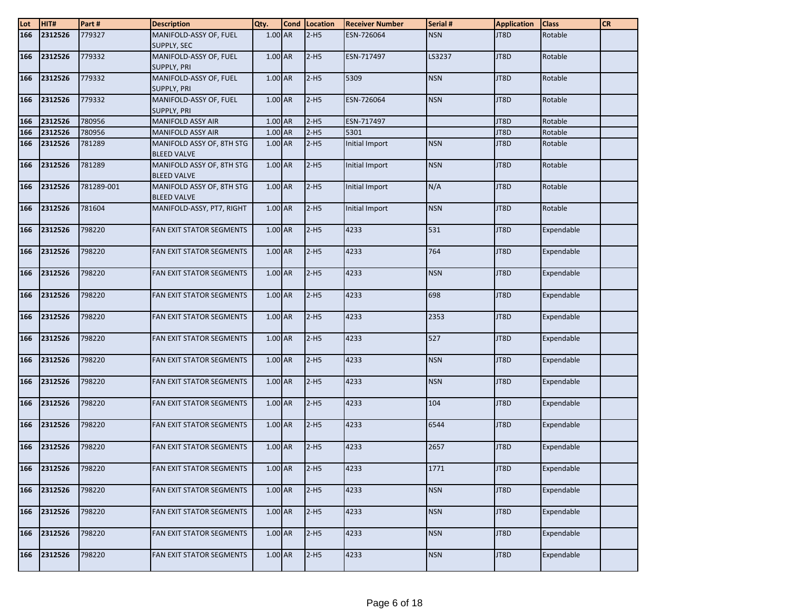| Lot | HIT#    | Part#      | <b>Description</b>                              | Qty.      | Cond Location | <b>Receiver Number</b> | Serial #   | <b>Application</b> | <b>Class</b> | <b>CR</b> |
|-----|---------|------------|-------------------------------------------------|-----------|---------------|------------------------|------------|--------------------|--------------|-----------|
| 166 | 2312526 | 779327     | MANIFOLD-ASSY OF, FUEL<br>SUPPLY, SEC           | 1.00 AR   | $2-H5$        | ESN-726064             | <b>NSN</b> | JT8D               | Rotable      |           |
| 166 | 2312526 | 779332     | MANIFOLD-ASSY OF, FUEL<br>SUPPLY, PRI           | 1.00 AR   | $2-H5$        | ESN-717497             | LS3237     | JT8D               | Rotable      |           |
| 166 | 2312526 | 779332     | MANIFOLD-ASSY OF, FUEL<br><b>SUPPLY, PRI</b>    | 1.00 AR   | $2-H5$        | 5309                   | <b>NSN</b> | JT8D               | Rotable      |           |
| 166 | 2312526 | 779332     | MANIFOLD-ASSY OF, FUEL<br><b>SUPPLY, PRI</b>    | 1.00 AR   | $2-H5$        | ESN-726064             | <b>NSN</b> | JT8D               | Rotable      |           |
| 166 | 2312526 | 780956     | <b>MANIFOLD ASSY AIR</b>                        | 1.00 AR   | $2-H5$        | ESN-717497             |            | JT8D               | Rotable      |           |
| 166 | 2312526 | 780956     | <b>MANIFOLD ASSY AIR</b>                        | 1.00 AR   | $2-H5$        | 5301                   |            | JT8D               | Rotable      |           |
| 166 | 2312526 | 781289     | MANIFOLD ASSY OF, 8TH STG<br><b>BLEED VALVE</b> | 1.00 AR   | $2-H5$        | Initial Import         | <b>NSN</b> | JT8D               | Rotable      |           |
| 166 | 2312526 | 781289     | MANIFOLD ASSY OF, 8TH STG<br><b>BLEED VALVE</b> | 1.00 AR   | $2-H5$        | Initial Import         | <b>NSN</b> | JT8D               | Rotable      |           |
| 166 | 2312526 | 781289-001 | MANIFOLD ASSY OF, 8TH STG<br><b>BLEED VALVE</b> | 1.00 AR   | $2-H5$        | Initial Import         | N/A        | JT8D               | Rotable      |           |
| 166 | 2312526 | 781604     | MANIFOLD-ASSY, PT7, RIGHT                       | 1.00 AR   | $2-H5$        | Initial Import         | <b>NSN</b> | JT8D               | Rotable      |           |
| 166 | 2312526 | 798220     | FAN EXIT STATOR SEGMENTS                        | 1.00 AR   | $2-H5$        | 4233                   | 531        | JT8D               | Expendable   |           |
| 166 | 2312526 | 798220     | FAN EXIT STATOR SEGMENTS                        | 1.00 AR   | $2-H5$        | 4233                   | 764        | JT8D               | Expendable   |           |
| 166 | 2312526 | 798220     | FAN EXIT STATOR SEGMENTS                        | $1.00$ AR | $2-H5$        | 4233                   | <b>NSN</b> | JT8D               | Expendable   |           |
| 166 | 2312526 | 798220     | <b>FAN EXIT STATOR SEGMENTS</b>                 | 1.00 AR   | $2-H5$        | 4233                   | 698        | JT8D               | Expendable   |           |
| 166 | 2312526 | 798220     | <b>FAN EXIT STATOR SEGMENTS</b>                 | $1.00$ AR | $2-H5$        | 4233                   | 2353       | JT8D               | Expendable   |           |
| 166 | 2312526 | 798220     | FAN EXIT STATOR SEGMENTS                        | 1.00 AR   | $2-H5$        | 4233                   | 527        | JT8D               | Expendable   |           |
| 166 | 2312526 | 798220     | FAN EXIT STATOR SEGMENTS                        | 1.00 AR   | $2-H5$        | 4233                   | <b>NSN</b> | JT8D               | Expendable   |           |
| 166 | 2312526 | 798220     | FAN EXIT STATOR SEGMENTS                        | 1.00 AR   | $2-H5$        | 4233                   | <b>NSN</b> | JT8D               | Expendable   |           |
| 166 | 2312526 | 798220     | FAN EXIT STATOR SEGMENTS                        | 1.00 AR   | $2-H5$        | 4233                   | 104        | JT8D               | Expendable   |           |
| 166 | 2312526 | 798220     | FAN EXIT STATOR SEGMENTS                        | $1.00$ AR | $2-H5$        | 4233                   | 6544       | JT8D               | Expendable   |           |
| 166 | 2312526 | 798220     | <b>FAN EXIT STATOR SEGMENTS</b>                 | 1.00 AR   | $2-H5$        | 4233                   | 2657       | JT8D               | Expendable   |           |
| 166 | 2312526 | 798220     | <b>FAN EXIT STATOR SEGMENTS</b>                 | 1.00 AR   | $2-H5$        | 4233                   | 1771       | JT8D               | Expendable   |           |
| 166 | 2312526 | 798220     | FAN EXIT STATOR SEGMENTS                        | $1.00$ AR | $2-H5$        | 4233                   | <b>NSN</b> | JT8D               | Expendable   |           |
| 166 | 2312526 | 798220     | FAN EXIT STATOR SEGMENTS                        | $1.00$ AR | $2-H5$        | 4233                   | <b>NSN</b> | JT8D               | Expendable   |           |
| 166 | 2312526 | 798220     | <b>FAN EXIT STATOR SEGMENTS</b>                 | 1.00 AR   | $2-H5$        | 4233                   | <b>NSN</b> | JT8D               | Expendable   |           |
| 166 | 2312526 | 798220     | FAN EXIT STATOR SEGMENTS                        | $1.00$ AR | $2-H5$        | 4233                   | <b>NSN</b> | JT8D               | Expendable   |           |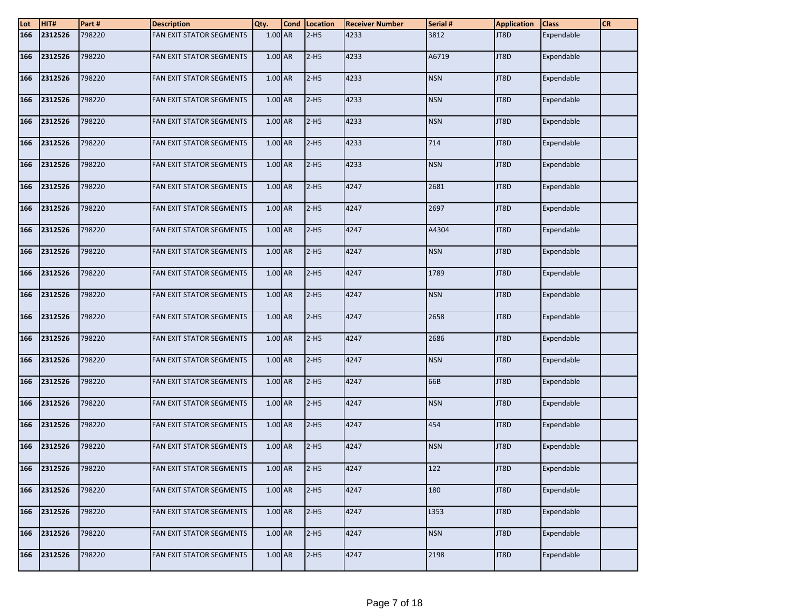| Lot | HIT#    | Part#  | <b>Description</b>              | Qty.      | <b>Cond</b> | Location | <b>Receiver Number</b> | Serial #   | <b>Application</b> | <b>Class</b> | <b>CR</b> |
|-----|---------|--------|---------------------------------|-----------|-------------|----------|------------------------|------------|--------------------|--------------|-----------|
| 166 | 2312526 | 798220 | FAN EXIT STATOR SEGMENTS        | $1.00$ AR |             | $2-H5$   | 4233                   | 3812       | JT8D               | Expendable   |           |
| 166 | 2312526 | 798220 | <b>FAN EXIT STATOR SEGMENTS</b> | 1.00 AR   |             | $2-H5$   | 4233                   | A6719      | JT8D               | Expendable   |           |
| 166 | 2312526 | 798220 | FAN EXIT STATOR SEGMENTS        | 1.00 AR   |             | $2-H5$   | 4233                   | <b>NSN</b> | JT8D               | Expendable   |           |
| 166 | 2312526 | 798220 | FAN EXIT STATOR SEGMENTS        | 1.00 AR   |             | $2-H5$   | 4233                   | <b>NSN</b> | JT8D               | Expendable   |           |
| 166 | 2312526 | 798220 | FAN EXIT STATOR SEGMENTS        | 1.00 AR   |             | $2-H5$   | 4233                   | <b>NSN</b> | JT8D               | Expendable   |           |
| 166 | 2312526 | 798220 | FAN EXIT STATOR SEGMENTS        | 1.00 AR   |             | $2-H5$   | 4233                   | 714        | JT8D               | Expendable   |           |
| 166 | 2312526 | 798220 | FAN EXIT STATOR SEGMENTS        | 1.00 AR   |             | $2-H5$   | 4233                   | <b>NSN</b> | JT8D               | Expendable   |           |
| 166 | 2312526 | 798220 | <b>FAN EXIT STATOR SEGMENTS</b> | 1.00 AR   |             | $2-H5$   | 4247                   | 2681       | JT8D               | Expendable   |           |
| 166 | 2312526 | 798220 | FAN EXIT STATOR SEGMENTS        | 1.00 AR   |             | $2-H5$   | 4247                   | 2697       | JT8D               | Expendable   |           |
| 166 | 2312526 | 798220 | FAN EXIT STATOR SEGMENTS        | 1.00 AR   |             | $2-H5$   | 4247                   | A4304      | JT8D               | Expendable   |           |
| 166 | 2312526 | 798220 | FAN EXIT STATOR SEGMENTS        | 1.00 AR   |             | $2-H5$   | 4247                   | <b>NSN</b> | JT8D               | Expendable   |           |
| 166 | 2312526 | 798220 | FAN EXIT STATOR SEGMENTS        | 1.00 AR   |             | $2-H5$   | 4247                   | 1789       | JT8D               | Expendable   |           |
| 166 | 2312526 | 798220 | FAN EXIT STATOR SEGMENTS        | 1.00 AR   |             | $2-H5$   | 4247                   | <b>NSN</b> | JT8D               | Expendable   |           |
| 166 | 2312526 | 798220 | <b>FAN EXIT STATOR SEGMENTS</b> | 1.00 AR   |             | $2-H5$   | 4247                   | 2658       | JT8D               | Expendable   |           |
| 166 | 2312526 | 798220 | FAN EXIT STATOR SEGMENTS        | 1.00 AR   |             | $2-H5$   | 4247                   | 2686       | JT8D               | Expendable   |           |
| 166 | 2312526 | 798220 | FAN EXIT STATOR SEGMENTS        | 1.00 AR   |             | $2-H5$   | 4247                   | <b>NSN</b> | JT8D               | Expendable   |           |
| 166 | 2312526 | 798220 | FAN EXIT STATOR SEGMENTS        | 1.00 AR   |             | $2-H5$   | 4247                   | 66B        | JT8D               | Expendable   |           |
| 166 | 2312526 | 798220 | FAN EXIT STATOR SEGMENTS        | 1.00 AR   |             | $2-H5$   | 4247                   | <b>NSN</b> | JT8D               | Expendable   |           |
| 166 | 2312526 | 798220 | FAN EXIT STATOR SEGMENTS        | 1.00 AR   |             | $2-H5$   | 4247                   | 454        | JT8D               | Expendable   |           |
| 166 | 2312526 | 798220 | <b>FAN EXIT STATOR SEGMENTS</b> | 1.00 AR   |             | $2-H5$   | 4247                   | <b>NSN</b> | JT8D               | Expendable   |           |
| 166 | 2312526 | 798220 | FAN EXIT STATOR SEGMENTS        | $1.00$ AR |             | $2-H5$   | 4247                   | 122        | JT8D               | Expendable   |           |
| 166 | 2312526 | 798220 | FAN EXIT STATOR SEGMENTS        | $1.00$ AR |             | $2-H5$   | 4247                   | 180        | JT8D               | Expendable   |           |
| 166 | 2312526 | 798220 | FAN EXIT STATOR SEGMENTS        | 1.00 AR   |             | $2-H5$   | 4247                   | L353       | JT8D               | Expendable   |           |
| 166 | 2312526 | 798220 | FAN EXIT STATOR SEGMENTS        | $1.00$ AR |             | $2-H5$   | 4247                   | <b>NSN</b> | JT8D               | Expendable   |           |
| 166 | 2312526 | 798220 | <b>FAN EXIT STATOR SEGMENTS</b> | $1.00$ AR |             | $2-H5$   | 4247                   | 2198       | JT8D               | Expendable   |           |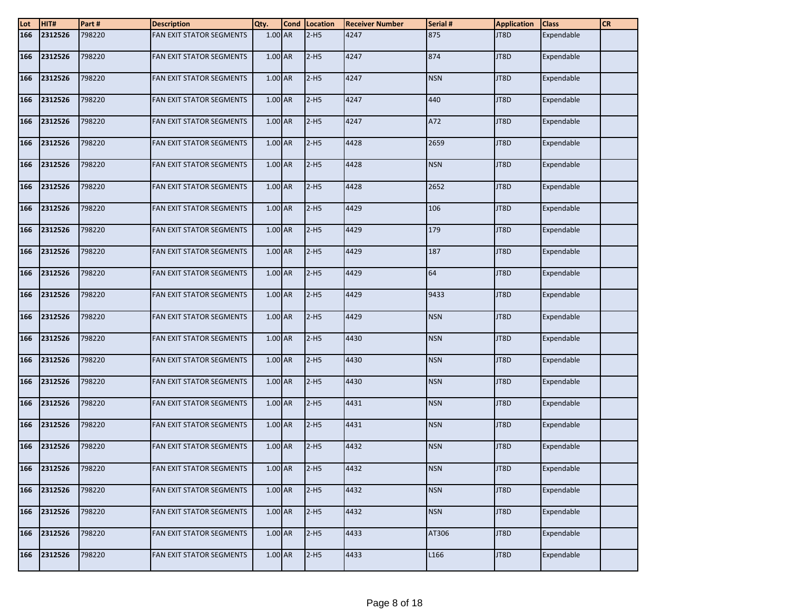| Lot | HIT#    | Part#  | <b>Description</b>              | Qty.      | <b>Cond</b> | Location | <b>Receiver Number</b> | Serial #   | <b>Application</b> | <b>Class</b> | <b>CR</b> |
|-----|---------|--------|---------------------------------|-----------|-------------|----------|------------------------|------------|--------------------|--------------|-----------|
| 166 | 2312526 | 798220 | FAN EXIT STATOR SEGMENTS        | $1.00$ AR |             | $2-H5$   | 4247                   | 875        | JT8D               | Expendable   |           |
| 166 | 2312526 | 798220 | <b>FAN EXIT STATOR SEGMENTS</b> | 1.00 AR   |             | $2-H5$   | 4247                   | 874        | JT8D               | Expendable   |           |
| 166 | 2312526 | 798220 | FAN EXIT STATOR SEGMENTS        | 1.00 AR   |             | $2-H5$   | 4247                   | <b>NSN</b> | JT8D               | Expendable   |           |
| 166 | 2312526 | 798220 | <b>FAN EXIT STATOR SEGMENTS</b> | 1.00 AR   |             | $2-H5$   | 4247                   | 440        | JT8D               | Expendable   |           |
| 166 | 2312526 | 798220 | FAN EXIT STATOR SEGMENTS        | 1.00 AR   |             | $2-H5$   | 4247                   | A72        | JT8D               | Expendable   |           |
| 166 | 2312526 | 798220 | <b>FAN EXIT STATOR SEGMENTS</b> | 1.00 AR   |             | $2-H5$   | 4428                   | 2659       | JT8D               | Expendable   |           |
| 166 | 2312526 | 798220 | FAN EXIT STATOR SEGMENTS        | 1.00 AR   |             | $2-H5$   | 4428                   | <b>NSN</b> | JT8D               | Expendable   |           |
| 166 | 2312526 | 798220 | <b>FAN EXIT STATOR SEGMENTS</b> | 1.00 AR   |             | $2-H5$   | 4428                   | 2652       | JT8D               | Expendable   |           |
| 166 | 2312526 | 798220 | FAN EXIT STATOR SEGMENTS        | 1.00 AR   |             | $2-H5$   | 4429                   | 106        | JT8D               | Expendable   |           |
| 166 | 2312526 | 798220 | FAN EXIT STATOR SEGMENTS        | 1.00 AR   |             | $2-H5$   | 4429                   | 179        | JT8D               | Expendable   |           |
| 166 | 2312526 | 798220 | FAN EXIT STATOR SEGMENTS        | 1.00 AR   |             | $2-H5$   | 4429                   | 187        | JT8D               | Expendable   |           |
| 166 | 2312526 | 798220 | FAN EXIT STATOR SEGMENTS        | 1.00 AR   |             | $2-H5$   | 4429                   | 64         | JT8D               | Expendable   |           |
| 166 | 2312526 | 798220 | FAN EXIT STATOR SEGMENTS        | 1.00 AR   |             | $2-H5$   | 4429                   | 9433       | JT8D               | Expendable   |           |
| 166 | 2312526 | 798220 | <b>FAN EXIT STATOR SEGMENTS</b> | 1.00 AR   |             | $2-H5$   | 4429                   | <b>NSN</b> | JT8D               | Expendable   |           |
| 166 | 2312526 | 798220 | FAN EXIT STATOR SEGMENTS        | $1.00$ AR |             | $2-H5$   | 4430                   | <b>NSN</b> | JT8D               | Expendable   |           |
| 166 | 2312526 | 798220 | FAN EXIT STATOR SEGMENTS        | 1.00 AR   |             | $2-H5$   | 4430                   | <b>NSN</b> | JT8D               | Expendable   |           |
| 166 | 2312526 | 798220 | FAN EXIT STATOR SEGMENTS        | 1.00 AR   |             | $2-H5$   | 4430                   | <b>NSN</b> | JT8D               | Expendable   |           |
| 166 | 2312526 | 798220 | FAN EXIT STATOR SEGMENTS        | 1.00 AR   |             | $2-H5$   | 4431                   | <b>NSN</b> | JT8D               | Expendable   |           |
| 166 | 2312526 | 798220 | FAN EXIT STATOR SEGMENTS        | 1.00 AR   |             | $2-H5$   | 4431                   | <b>NSN</b> | JT8D               | Expendable   |           |
| 166 | 2312526 | 798220 | <b>FAN EXIT STATOR SEGMENTS</b> | 1.00 AR   |             | $2-H5$   | 4432                   | <b>NSN</b> | JT8D               | Expendable   |           |
| 166 | 2312526 | 798220 | FAN EXIT STATOR SEGMENTS        | $1.00$ AR |             | $2-H5$   | 4432                   | <b>NSN</b> | JT8D               | Expendable   |           |
| 166 | 2312526 | 798220 | <b>FAN EXIT STATOR SEGMENTS</b> | $1.00$ AR |             | $2-H5$   | 4432                   | <b>NSN</b> | JT8D               | Expendable   |           |
| 166 | 2312526 | 798220 | FAN EXIT STATOR SEGMENTS        | 1.00 AR   |             | $2-H5$   | 4432                   | <b>NSN</b> | JT8D               | Expendable   |           |
| 166 | 2312526 | 798220 | FAN EXIT STATOR SEGMENTS        | $1.00$ AR |             | $2-H5$   | 4433                   | AT306      | JT8D               | Expendable   |           |
| 166 | 2312526 | 798220 | <b>FAN EXIT STATOR SEGMENTS</b> | $1.00$ AR |             | $2-H5$   | 4433                   | L166       | JT8D               | Expendable   |           |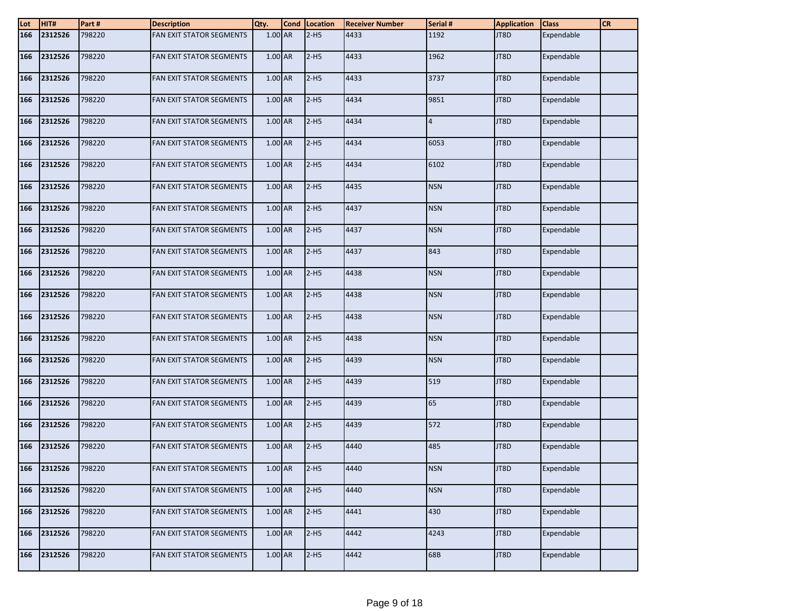| Lot | HIT#    | Part#  | <b>Description</b>              | Qty.      | <b>Cond</b> | Location | <b>Receiver Number</b> | Serial #       | <b>Application</b> | <b>Class</b> | <b>CR</b> |
|-----|---------|--------|---------------------------------|-----------|-------------|----------|------------------------|----------------|--------------------|--------------|-----------|
| 166 | 2312526 | 798220 | FAN EXIT STATOR SEGMENTS        | $1.00$ AR |             | $2-H5$   | 4433                   | 1192           | JT8D               | Expendable   |           |
| 166 | 2312526 | 798220 | <b>FAN EXIT STATOR SEGMENTS</b> | 1.00 AR   |             | $2-H5$   | 4433                   | 1962           | JT8D               | Expendable   |           |
| 166 | 2312526 | 798220 | FAN EXIT STATOR SEGMENTS        | 1.00 AR   |             | $2-H5$   | 4433                   | 3737           | JT8D               | Expendable   |           |
| 166 | 2312526 | 798220 | <b>FAN EXIT STATOR SEGMENTS</b> | 1.00 AR   |             | $2-H5$   | 4434                   | 9851           | JT8D               | Expendable   |           |
| 166 | 2312526 | 798220 | FAN EXIT STATOR SEGMENTS        | 1.00 AR   |             | $2-H5$   | 4434                   | $\overline{4}$ | JT8D               | Expendable   |           |
| 166 | 2312526 | 798220 | FAN EXIT STATOR SEGMENTS        | 1.00 AR   |             | $2-H5$   | 4434                   | 6053           | JT8D               | Expendable   |           |
| 166 | 2312526 | 798220 | FAN EXIT STATOR SEGMENTS        | 1.00 AR   |             | $2-H5$   | 4434                   | 6102           | JT8D               | Expendable   |           |
| 166 | 2312526 | 798220 | <b>FAN EXIT STATOR SEGMENTS</b> | 1.00 AR   |             | $2-H5$   | 4435                   | <b>NSN</b>     | JT8D               | Expendable   |           |
| 166 | 2312526 | 798220 | FAN EXIT STATOR SEGMENTS        | 1.00 AR   |             | $2-H5$   | 4437                   | <b>NSN</b>     | JT8D               | Expendable   |           |
| 166 | 2312526 | 798220 | FAN EXIT STATOR SEGMENTS        | 1.00 AR   |             | $2-H5$   | 4437                   | <b>NSN</b>     | JT8D               | Expendable   |           |
| 166 | 2312526 | 798220 | FAN EXIT STATOR SEGMENTS        | 1.00 AR   |             | $2-H5$   | 4437                   | 843            | JT8D               | Expendable   |           |
| 166 | 2312526 | 798220 | <b>FAN EXIT STATOR SEGMENTS</b> | 1.00 AR   |             | $2-H5$   | 4438                   | <b>NSN</b>     | JT8D               | Expendable   |           |
| 166 | 2312526 | 798220 | FAN EXIT STATOR SEGMENTS        | 1.00 AR   |             | $2-H5$   | 4438                   | <b>NSN</b>     | JT8D               | Expendable   |           |
| 166 | 2312526 | 798220 | <b>FAN EXIT STATOR SEGMENTS</b> | 1.00 AR   |             | $2-H5$   | 4438                   | <b>NSN</b>     | JT8D               | Expendable   |           |
| 166 | 2312526 | 798220 | FAN EXIT STATOR SEGMENTS        | 1.00 AR   |             | $2-H5$   | 4438                   | <b>NSN</b>     | JT8D               | Expendable   |           |
| 166 | 2312526 | 798220 | FAN EXIT STATOR SEGMENTS        | 1.00 AR   |             | $2-H5$   | 4439                   | <b>NSN</b>     | JT8D               | Expendable   |           |
| 166 | 2312526 | 798220 | FAN EXIT STATOR SEGMENTS        | 1.00 AR   |             | $2-H5$   | 4439                   | 519            | JT8D               | Expendable   |           |
| 166 | 2312526 | 798220 | FAN EXIT STATOR SEGMENTS        | 1.00 AR   |             | $2-H5$   | 4439                   | 65             | JT8D               | Expendable   |           |
| 166 | 2312526 | 798220 | FAN EXIT STATOR SEGMENTS        | 1.00 AR   |             | $2-H5$   | 4439                   | 572            | JT8D               | Expendable   |           |
| 166 | 2312526 | 798220 | <b>FAN EXIT STATOR SEGMENTS</b> | 1.00 AR   |             | $2-H5$   | 4440                   | 485            | JT8D               | Expendable   |           |
| 166 | 2312526 | 798220 | FAN EXIT STATOR SEGMENTS        | $1.00$ AR |             | $2-H5$   | 4440                   | <b>NSN</b>     | JT8D               | Expendable   |           |
| 166 | 2312526 | 798220 | FAN EXIT STATOR SEGMENTS        | $1.00$ AR |             | $2-H5$   | 4440                   | <b>NSN</b>     | JT8D               | Expendable   |           |
| 166 | 2312526 | 798220 | FAN EXIT STATOR SEGMENTS        | 1.00 AR   |             | $2-H5$   | 4441                   | 430            | JT8D               | Expendable   |           |
| 166 | 2312526 | 798220 | FAN EXIT STATOR SEGMENTS        | $1.00$ AR |             | $2-H5$   | 4442                   | 4243           | JT8D               | Expendable   |           |
| 166 | 2312526 | 798220 | <b>FAN EXIT STATOR SEGMENTS</b> | $1.00$ AR |             | $2-H5$   | 4442                   | 68B            | JT8D               | Expendable   |           |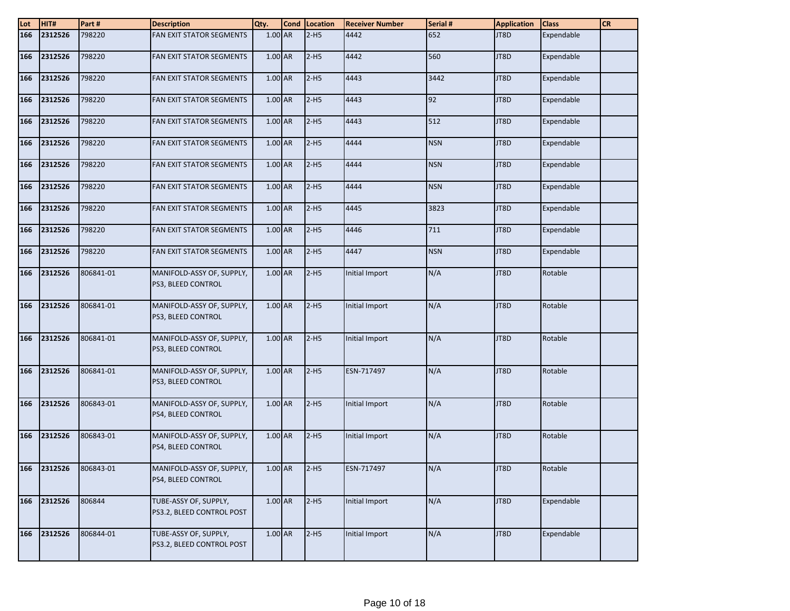| $\frac{\text{Lot}}{166}$ | HIT#    | Part#     | <b>Description</b>                                 | Qty.      | Cond Location | <b>Receiver Number</b> | Serial #   | <b>Application</b> | <b>Class</b> | <b>CR</b> |
|--------------------------|---------|-----------|----------------------------------------------------|-----------|---------------|------------------------|------------|--------------------|--------------|-----------|
|                          | 2312526 | 798220    | <b>FAN EXIT STATOR SEGMENTS</b>                    | 1.00 AR   | $2-H5$        | 4442                   | 652        | JT8D               | Expendable   |           |
| 166                      | 2312526 | 798220    | FAN EXIT STATOR SEGMENTS                           | 1.00 AR   | $2-H5$        | 4442                   | 560        | JT8D               | Expendable   |           |
| 166                      | 2312526 | 798220    | FAN EXIT STATOR SEGMENTS                           | 1.00 AR   | $2-H5$        | 4443                   | 3442       | JT8D               | Expendable   |           |
| 166                      | 2312526 | 798220    | FAN EXIT STATOR SEGMENTS                           | 1.00 AR   | $2-H5$        | 4443                   | 92         | JT8D               | Expendable   |           |
| 166                      | 2312526 | 798220    | FAN EXIT STATOR SEGMENTS                           | 1.00 AR   | $2-H5$        | 4443                   | 512        | JT8D               | Expendable   |           |
| 166                      | 2312526 | 798220    | FAN EXIT STATOR SEGMENTS                           | 1.00 AR   | $2-H5$        | 4444                   | <b>NSN</b> | JT8D               | Expendable   |           |
| 166                      | 2312526 | 798220    | FAN EXIT STATOR SEGMENTS                           | 1.00 AR   | $2-H5$        | 4444                   | <b>NSN</b> | JT8D               | Expendable   |           |
| 166                      | 2312526 | 798220    | FAN EXIT STATOR SEGMENTS                           | 1.00 AR   | $2-H5$        | 4444                   | <b>NSN</b> | JT8D               | Expendable   |           |
| 166                      | 2312526 | 798220    | FAN EXIT STATOR SEGMENTS                           | 1.00 AR   | $2-H5$        | 4445                   | 3823       | JT8D               | Expendable   |           |
| 166                      | 2312526 | 798220    | FAN EXIT STATOR SEGMENTS                           | 1.00 AR   | $2-H5$        | 4446                   | 711        | JT8D               | Expendable   |           |
| 166                      | 2312526 | 798220    | FAN EXIT STATOR SEGMENTS                           | 1.00 AR   | $2-H5$        | 4447                   | <b>NSN</b> | JT8D               | Expendable   |           |
| 166                      | 2312526 | 806841-01 | MANIFOLD-ASSY OF, SUPPLY,<br>PS3, BLEED CONTROL    | 1.00 AR   | $2-H5$        | Initial Import         | N/A        | JT8D               | Rotable      |           |
| 166                      | 2312526 | 806841-01 | MANIFOLD-ASSY OF, SUPPLY,<br>PS3, BLEED CONTROL    | 1.00 AR   | $2-H5$        | Initial Import         | N/A        | JT8D               | Rotable      |           |
| 166                      | 2312526 | 806841-01 | MANIFOLD-ASSY OF, SUPPLY,<br>PS3, BLEED CONTROL    | 1.00 AR   | $2-H5$        | Initial Import         | N/A        | JT8D               | Rotable      |           |
| 166                      | 2312526 | 806841-01 | MANIFOLD-ASSY OF, SUPPLY,<br>PS3, BLEED CONTROL    | $1.00$ AR | $2-H5$        | ESN-717497             | N/A        | JT8D               | Rotable      |           |
| 166                      | 2312526 | 806843-01 | MANIFOLD-ASSY OF, SUPPLY,<br>PS4, BLEED CONTROL    | 1.00 AR   | $2-H5$        | Initial Import         | N/A        | JT8D               | Rotable      |           |
| 166                      | 2312526 | 806843-01 | MANIFOLD-ASSY OF, SUPPLY,<br>PS4, BLEED CONTROL    | 1.00 AR   | $2-H5$        | Initial Import         | N/A        | JT8D               | Rotable      |           |
| 166                      | 2312526 | 806843-01 | MANIFOLD-ASSY OF, SUPPLY,<br>PS4, BLEED CONTROL    | $1.00$ AR | $12-H5$       | ESN-717497             | N/A        | JT8D               | Rotable      |           |
| 166                      | 2312526 | 806844    | TUBE-ASSY OF, SUPPLY,<br>PS3.2, BLEED CONTROL POST | $1.00$ AR | $2-H5$        | Initial Import         | N/A        | JT8D               | Expendable   |           |
| 166                      | 2312526 | 806844-01 | TUBE-ASSY OF, SUPPLY,<br>PS3.2, BLEED CONTROL POST | $1.00$ AR | $2-H5$        | Initial Import         | N/A        | JT8D               | Expendable   |           |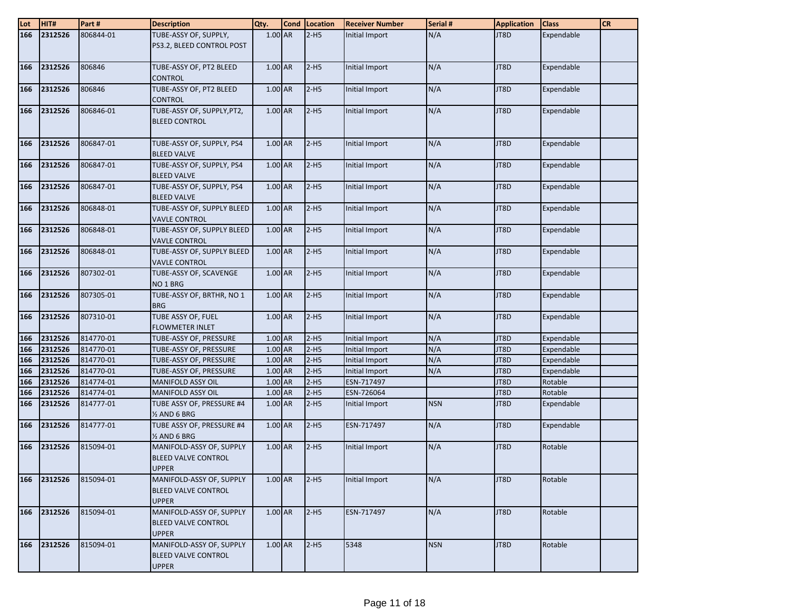| Lot        | HIT#               | Part#                  | <b>Description</b>                                                               | Qty.                 | <b>Cond</b> | Location         | <b>Receiver Number</b>       | Serial #   | <b>Application</b> | <b>Class</b>          | <b>CR</b> |
|------------|--------------------|------------------------|----------------------------------------------------------------------------------|----------------------|-------------|------------------|------------------------------|------------|--------------------|-----------------------|-----------|
| 166        | 2312526            | 806844-01              | TUBE-ASSY OF, SUPPLY,<br>PS3.2, BLEED CONTROL POST                               | $1.00$ AR            |             | $2-H5$           | Initial Import               | N/A        | JT8D               | Expendable            |           |
| 166        | 2312526            | 806846                 | TUBE-ASSY OF, PT2 BLEED<br><b>CONTROL</b>                                        | 1.00 AR              |             | $2-H5$           | Initial Import               | N/A        | JT8D               | Expendable            |           |
| 166        | 2312526            | 806846                 | TUBE-ASSY OF, PT2 BLEED<br><b>CONTROL</b>                                        | 1.00 AR              |             | $2-H5$           | Initial Import               | N/A        | JT8D               | Expendable            |           |
| 166        | 2312526            | 806846-01              | TUBE-ASSY OF, SUPPLY, PT2,<br><b>BLEED CONTROL</b>                               | 1.00 AR              |             | $2-H5$           | Initial Import               | N/A        | JT8D               | Expendable            |           |
| 166        | 2312526            | 806847-01              | TUBE-ASSY OF, SUPPLY, PS4<br><b>BLEED VALVE</b>                                  | 1.00 AR              |             | $2-H5$           | Initial Import               | N/A        | JT8D               | Expendable            |           |
| 166        | 2312526            | 806847-01              | TUBE-ASSY OF, SUPPLY, PS4<br><b>BLEED VALVE</b>                                  | 1.00 AR              |             | $2-H5$           | Initial Import               | N/A        | JT8D               | Expendable            |           |
| 166        | 2312526            | 806847-01              | TUBE-ASSY OF, SUPPLY, PS4<br><b>BLEED VALVE</b>                                  | 1.00 AR              |             | $2-H5$           | Initial Import               | N/A        | JT8D               | Expendable            |           |
| 166        | 2312526            | 806848-01              | TUBE-ASSY OF, SUPPLY BLEED<br><b>VAVLE CONTROL</b>                               | $1.00$ AR            |             | $2-H5$           | Initial Import               | N/A        | JT8D               | Expendable            |           |
| 166        | 2312526            | 806848-01              | TUBE-ASSY OF, SUPPLY BLEED<br><b>VAVLE CONTROL</b>                               | 1.00 AR              |             | $2-H5$           | Initial Import               | N/A        | JT8D               | Expendable            |           |
| 166        | 2312526            | 806848-01              | TUBE-ASSY OF, SUPPLY BLEED<br><b>VAVLE CONTROL</b>                               | 1.00 AR              |             | $2-H5$           | Initial Import               | N/A        | JT8D               | Expendable            |           |
| 166        | 2312526            | 807302-01              | TUBE-ASSY OF, SCAVENGE<br>NO <sub>1</sub> BRG                                    | 1.00 AR              |             | $2-H5$           | Initial Import               | N/A        | JT8D               | Expendable            |           |
| 166        | 2312526            | 807305-01              | TUBE-ASSY OF, BRTHR, NO 1<br><b>BRG</b>                                          | 1.00 AR              |             | $2-H5$           | Initial Import               | N/A        | JT8D               | Expendable            |           |
| 166        | 2312526            | 807310-01              | TUBE ASSY OF, FUEL<br><b>FLOWMETER INLET</b>                                     | 1.00 AR              |             | $2-H5$           | Initial Import               | N/A        | JT8D               | Expendable            |           |
| 166        | 2312526            | 814770-01              | TUBE-ASSY OF, PRESSURE                                                           | 1.00 AR              |             | $2-H5$           | <b>Initial Import</b>        | N/A        | JT8D               | Expendable            |           |
| 166        | 2312526            | 814770-01              | TUBE-ASSY OF, PRESSURE                                                           | 1.00 AR              |             | $2-H5$           | Initial Import               | N/A        | JT8D               | Expendable            |           |
| 166        | 2312526            | 814770-01              | TUBE-ASSY OF, PRESSURE                                                           | 1.00 AR              |             | $2-H5$           | <b>Initial Import</b>        | N/A        | JT8D               | Expendable            |           |
| 166        | 2312526            | 814770-01              | TUBE-ASSY OF, PRESSURE                                                           | 1.00 AR              |             | $2-H5$           | Initial Import               | N/A        | JT8D               | Expendable            |           |
| 166        | 2312526            | 814774-01              | <b>MANIFOLD ASSY OIL</b>                                                         | 1.00 AR              |             | $2-H5$           | ESN-717497                   |            | JT8D               | Rotable               |           |
| 166<br>166 | 2312526<br>2312526 | 814774-01<br>814777-01 | <b>MANIFOLD ASSY OIL</b><br>TUBE ASSY OF, PRESSURE #4<br>$\frac{1}{2}$ AND 6 BRG | $1.00$ AR<br>1.00 AR |             | $2-H5$<br>$2-H5$ | ESN-726064<br>Initial Import | <b>NSN</b> | JT8D<br>JT8D       | Rotable<br>Expendable |           |
| 166        | 2312526            | 814777-01              | TUBE ASSY OF, PRESSURE #4<br>$\frac{1}{2}$ AND 6 BRG                             | 1.00 AR              |             | $2-H5$           | ESN-717497                   | N/A        | JT8D               | Expendable            |           |
| 166        | 2312526            | 815094-01              | MANIFOLD-ASSY OF, SUPPLY<br><b>BLEED VALVE CONTROL</b><br>UPPER                  | 1.00 AR              |             | $2-H5$           | Initial Import               | N/A        | JT8D               | Rotable               |           |
| 166        | 2312526            | 815094-01              | MANIFOLD-ASSY OF, SUPPLY<br><b>BLEED VALVE CONTROL</b><br><b>UPPER</b>           | 1.00 AR              |             | $2-H5$           | Initial Import               | N/A        | JT8D               | Rotable               |           |
| 166        | 2312526            | 815094-01              | MANIFOLD-ASSY OF, SUPPLY<br>BLEED VALVE CONTROL<br><b>UPPER</b>                  | $1.00$ AR            |             | $2-H5$           | ESN-717497                   | N/A        | JT8D               | Rotable               |           |
| 166        | 2312526            | 815094-01              | MANIFOLD-ASSY OF, SUPPLY<br>BLEED VALVE CONTROL<br><b>UPPER</b>                  | $1.00$ AR            |             | $2-H5$           | 5348                         | <b>NSN</b> | JT8D               | Rotable               |           |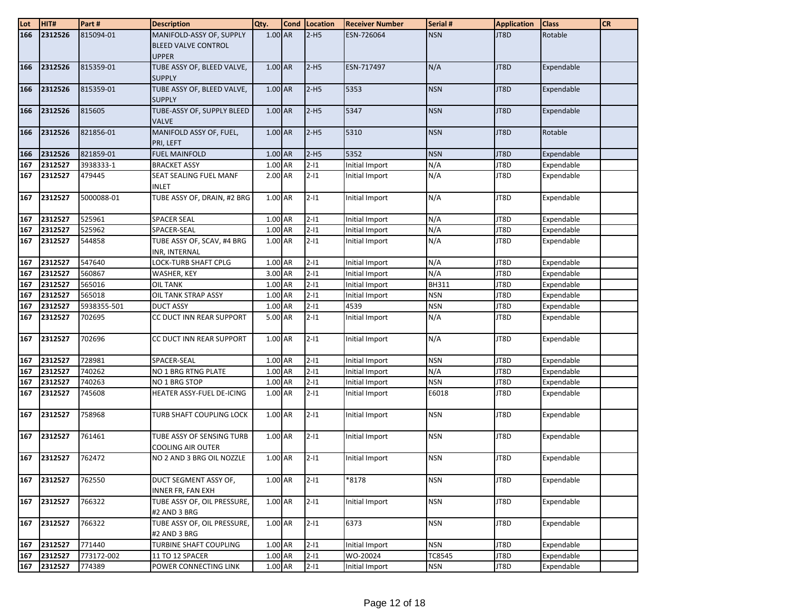| Lot | HIT#    | Part#       | <b>Description</b>                                                     | Qty.      | Cond Location | <b>Receiver Number</b> | Serial #     | <b>Application</b> | <b>Class</b> | <b>CR</b> |
|-----|---------|-------------|------------------------------------------------------------------------|-----------|---------------|------------------------|--------------|--------------------|--------------|-----------|
| 166 | 2312526 | 815094-01   | MANIFOLD-ASSY OF, SUPPLY<br><b>BLEED VALVE CONTROL</b><br><b>UPPER</b> | 1.00 AR   | $2-H5$        | ESN-726064             | <b>NSN</b>   | JT8D               | Rotable      |           |
| 166 | 2312526 | 815359-01   | TUBE ASSY OF, BLEED VALVE,<br><b>SUPPLY</b>                            | $1.00$ AR | $2-H5$        | ESN-717497             | N/A          | JT8D               | Expendable   |           |
| 166 | 2312526 | 815359-01   | TUBE ASSY OF, BLEED VALVE,<br><b>SUPPLY</b>                            | 1.00 AR   | $2-H5$        | 5353                   | <b>NSN</b>   | JT8D               | Expendable   |           |
| 166 | 2312526 | 815605      | TUBE-ASSY OF, SUPPLY BLEED<br><b>VALVE</b>                             | 1.00 AR   | $2-H5$        | 5347                   | <b>NSN</b>   | JT8D               | Expendable   |           |
| 166 | 2312526 | 821856-01   | MANIFOLD ASSY OF, FUEL,<br>PRI, LEFT                                   | 1.00 AR   | $2-H5$        | 5310                   | <b>NSN</b>   | JT8D               | Rotable      |           |
| 166 | 2312526 | 821859-01   | <b>FUEL MAINFOLD</b>                                                   | 1.00 AR   | $2-H5$        | 5352                   | <b>NSN</b>   | JT8D               | Expendable   |           |
| 167 | 2312527 | 3938333-1   | <b>BRACKET ASSY</b>                                                    | 1.00 AR   | $2 - 11$      | Initial Import         | N/A          | JT8D               | Expendable   |           |
| 167 | 2312527 | 479445      | SEAT SEALING FUEL MANF<br><b>INLET</b>                                 | 2.00 AR   | $2 - 11$      | Initial Import         | N/A          | JT8D               | Expendable   |           |
| 167 | 2312527 | 5000088-01  | TUBE ASSY OF, DRAIN, #2 BRG                                            | 1.00 AR   | $2 - 11$      | Initial Import         | N/A          | JT8D               | Expendable   |           |
| 167 | 2312527 | 525961      | <b>SPACER SEAL</b>                                                     | 1.00 AR   | $2 - 11$      | Initial Import         | N/A          | JT8D               | Expendable   |           |
| 167 | 2312527 | 525962      | SPACER-SEAL                                                            | 1.00 AR   | $2 - 11$      | Initial Import         | N/A          | JT8D               | Expendable   |           |
| 167 | 2312527 | 544858      | TUBE ASSY OF, SCAV, #4 BRG<br>INR, INTERNAL                            | 1.00 AR   | $2 - 11$      | Initial Import         | N/A          | JT8D               | Expendable   |           |
| 167 | 2312527 | 547640      | LOCK-TURB SHAFT CPLG                                                   | 1.00 AR   | $2 - 11$      | Initial Import         | N/A          | JT8D               | Expendable   |           |
| 167 | 2312527 | 560867      | WASHER, KEY                                                            | $3.00$ AR | $2 - 11$      | Initial Import         | N/A          | JT8D               | Expendable   |           |
| 167 | 2312527 | 565016      | <b>OIL TANK</b>                                                        | 1.00 AR   | $2 - 11$      | Initial Import         | <b>BH311</b> | JT8D               | Expendable   |           |
| 167 | 2312527 | 565018      | OIL TANK STRAP ASSY                                                    | 1.00 AR   | $2 - 11$      | Initial Import         | <b>NSN</b>   | JT8D               | Expendable   |           |
| 167 | 2312527 | 5938355-501 | <b>DUCT ASSY</b>                                                       | 1.00 AR   | $2 - 11$      | 4539                   | <b>NSN</b>   | JT8D               | Expendable   |           |
| 167 | 2312527 | 702695      | CC DUCT INN REAR SUPPORT                                               | $5.00$ AR | $2 - 11$      | Initial Import         | N/A          | JT8D               | Expendable   |           |
| 167 | 2312527 | 702696      | CC DUCT INN REAR SUPPORT                                               | 1.00 AR   | $2 - 11$      | Initial Import         | N/A          | JT8D               | Expendable   |           |
| 167 | 2312527 | 728981      | SPACER-SEAL                                                            | 1.00 AR   | $2 - 11$      | Initial Import         | <b>NSN</b>   | JT8D               | Expendable   |           |
| 167 | 2312527 | 740262      | NO 1 BRG RTNG PLATE                                                    | 1.00 AR   | $2 - 11$      | Initial Import         | N/A          | JT8D               | Expendable   |           |
| 167 | 2312527 | 740263      | NO 1 BRG STOP                                                          | 1.00 AR   | $2 - 11$      | Initial Import         | <b>NSN</b>   | JT8D               | Expendable   |           |
| 167 | 2312527 | 745608      | HEATER ASSY-FUEL DE-ICING                                              | 1.00 AR   | $2 - 11$      | Initial Import         | E6018        | JT8D               | Expendable   |           |
| 167 | 2312527 | 758968      | TURB SHAFT COUPLING LOCK                                               | 1.00 AR   | $2 - 11$      | Initial Import         | <b>NSN</b>   | JT8D               | Expendable   |           |
| 167 | 2312527 | 761461      | TUBE ASSY OF SENSING TURB<br><b>COOLING AIR OUTER</b>                  | 1.00 AR   | $2 - 11$      | Initial Import         | <b>NSN</b>   | JT8D               | Expendable   |           |
| 167 | 2312527 | 762472      | NO 2 AND 3 BRG OIL NOZZLE                                              | 1.00 AR   | $2 - 11$      | Initial Import         | <b>NSN</b>   | JT8D               | Expendable   |           |
| 167 | 2312527 | 762550      | DUCT SEGMENT ASSY OF,<br>INNER FR, FAN EXH                             | 1.00 AR   | $2 - 11$      | 8178*                  | <b>NSN</b>   | JT8D               | Expendable   |           |
| 167 | 2312527 | 766322      | TUBE ASSY OF, OIL PRESSURE,<br>#2 AND 3 BRG                            | 1.00 AR   | $2 - 11$      | Initial Import         | <b>NSN</b>   | JT8D               | Expendable   |           |
| 167 | 2312527 | 766322      | TUBE ASSY OF, OIL PRESSURE,<br>#2 AND 3 BRG                            | 1.00 AR   | $2 - 11$      | 6373                   | <b>NSN</b>   | JT8D               | Expendable   |           |
| 167 | 2312527 | 771440      | TURBINE SHAFT COUPLING                                                 | 1.00 AR   | $2 - 11$      | Initial Import         | <b>NSN</b>   | JT8D               | Expendable   |           |
| 167 | 2312527 | 773172-002  | 11 TO 12 SPACER                                                        | 1.00 AR   | $2 - 11$      | WO-20024               | TC8545       | JT8D               | Expendable   |           |
| 167 | 2312527 | 774389      | POWER CONNECTING LINK                                                  | 1.00 AR   | $2 - 11$      | Initial Import         | <b>NSN</b>   | JT8D               | Expendable   |           |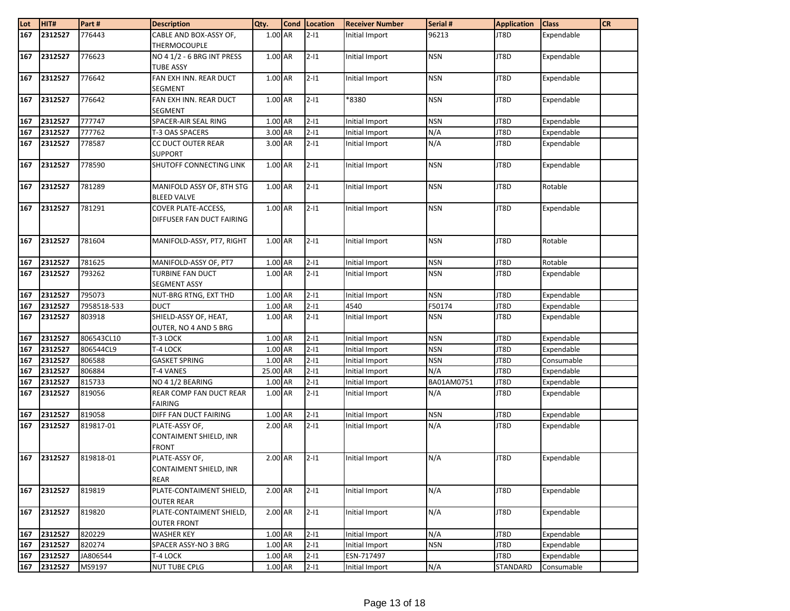| Lot        | HIT#    | Part#       | <b>Description</b>                      | Qty.               | Cond Location        | <b>Receiver Number</b> | Serial #   | <b>Application</b> | <b>Class</b> | <b>CR</b> |
|------------|---------|-------------|-----------------------------------------|--------------------|----------------------|------------------------|------------|--------------------|--------------|-----------|
| 167        | 2312527 | 776443      | CABLE AND BOX-ASSY OF,                  | 1.00 AR            | $2 - 11$             | Initial Import         | 96213      | JT8D               | Expendable   |           |
|            |         |             | <b>THERMOCOUPLE</b>                     |                    |                      |                        |            |                    |              |           |
| 167        | 2312527 | 776623      | NO 4 1/2 - 6 BRG INT PRESS              | 1.00 AR            | $2 - 11$             | Initial Import         | <b>NSN</b> | JT8D               | Expendable   |           |
|            |         |             | <b>TUBE ASSY</b>                        |                    |                      |                        |            |                    |              |           |
| 167        | 2312527 | 776642      | FAN EXH INN. REAR DUCT                  | 1.00 AR            | $2 - 11$             | Initial Import         | <b>NSN</b> | JT8D               | Expendable   |           |
|            |         |             | <b>SEGMENT</b>                          |                    |                      |                        |            |                    |              |           |
| 167        | 2312527 | 776642      | FAN EXH INN. REAR DUCT                  | 1.00 AR            | $2 - 11$             | *8380                  | <b>NSN</b> | JT8D               | Expendable   |           |
|            |         |             | SEGMENT                                 |                    |                      |                        |            |                    |              |           |
| 167        | 2312527 | 777747      | SPACER-AIR SEAL RING                    | 1.00 AR            | $2 - 11$             | Initial Import         | <b>NSN</b> | JT8D               | Expendable   |           |
| 167        | 2312527 | 777762      | T-3 OAS SPACERS                         | 3.00 AR            | $2 - 11$             | Initial Import         | N/A        | JT8D               | Expendable   |           |
| 167        | 2312527 | 778587      | CC DUCT OUTER REAR                      | $3.00$ AR          | $2 - 11$             | Initial Import         | N/A        | JT8D               | Expendable   |           |
|            |         | 778590      | <b>SUPPORT</b>                          |                    |                      |                        |            |                    |              |           |
| 167        | 2312527 |             | SHUTOFF CONNECTING LINK                 | 1.00 AR            | $2 - 11$             | Initial Import         | <b>NSN</b> | JT8D               | Expendable   |           |
| 167        | 2312527 | 781289      | MANIFOLD ASSY OF, 8TH STG               | 1.00 AR            | $2 - 11$             | Initial Import         | <b>NSN</b> | JT8D               | Rotable      |           |
|            |         |             | <b>BLEED VALVE</b>                      |                    |                      |                        |            |                    |              |           |
| 167        | 2312527 | 781291      | <b>COVER PLATE-ACCESS,</b>              | 1.00 AR            | $2 - 11$             | Initial Import         | <b>NSN</b> | JT8D               | Expendable   |           |
|            |         |             | DIFFUSER FAN DUCT FAIRING               |                    |                      |                        |            |                    |              |           |
|            |         |             |                                         |                    |                      |                        |            |                    |              |           |
| 167        | 2312527 | 781604      | MANIFOLD-ASSY, PT7, RIGHT               | 1.00 AR            | $2 - 11$             | Initial Import         | <b>NSN</b> | JT8D               | Rotable      |           |
|            |         |             |                                         |                    |                      |                        |            |                    |              |           |
| 167        | 2312527 | 781625      | MANIFOLD-ASSY OF, PT7                   | 1.00 AR            | $2 - 11$             | Initial Import         | <b>NSN</b> | JT8D               | Rotable      |           |
| 167        | 2312527 | 793262      | TURBINE FAN DUCT                        | 1.00 AR            | $2 - 11$             | Initial Import         | <b>NSN</b> | JT8D               | Expendable   |           |
|            |         |             | <b>SEGMENT ASSY</b>                     |                    |                      |                        |            |                    |              |           |
| 167        | 2312527 | 795073      | NUT-BRG RTNG, EXT THD                   | 1.00 AR            | $2 - 11$             | Initial Import         | <b>NSN</b> | JT8D               | Expendable   |           |
| 167        | 2312527 | 7958518-533 | <b>DUCT</b>                             | 1.00 AR            | $2 - 11$             | 4540                   | F50174     | JT8D               | Expendable   |           |
| 167        | 2312527 | 803918      | SHIELD-ASSY OF, HEAT,                   | 1.00 AR            | $2 - 11$             | Initial Import         | <b>NSN</b> | JT8D               | Expendable   |           |
|            |         |             | OUTER, NO 4 AND 5 BRG                   |                    |                      |                        |            |                    |              |           |
| 167        | 2312527 | 806543CL10  | T-3 LOCK                                | 1.00 AR            | $2 - 11$             | Initial Import         | <b>NSN</b> | JT8D               | Expendable   |           |
| 167        | 2312527 | 806544CL9   | T-4 LOCK                                | 1.00 AR            | $2 - 11$             | Initial Import         | <b>NSN</b> | JT8D               | Expendable   |           |
| 167        | 2312527 | 806588      | <b>GASKET SPRING</b>                    | 1.00 AR            | $2 - 11$             | Initial Import         | <b>NSN</b> | JT8D               | Consumable   |           |
| 167        | 2312527 | 806884      | T-4 VANES                               | 25.00 AR           | $2 - 11$             | Initial Import         | N/A        | JT8D               | Expendable   |           |
| 167        | 2312527 | 815733      | NO 4 1/2 BEARING                        | 1.00 AR            | $2 - 11$             | Initial Import         | BA01AM0751 | JT8D               | Expendable   |           |
| 167        | 2312527 | 819056      | REAR COMP FAN DUCT REAR                 | 1.00 AR            | $2 - 11$             | Initial Import         | N/A        | JT8D               | Expendable   |           |
|            | 2312527 | 819058      | <b>FAIRING</b><br>DIFF FAN DUCT FAIRING |                    |                      | Initial Import         | <b>NSN</b> | JT8D               | Expendable   |           |
| 167<br>167 | 2312527 | 819817-01   | PLATE-ASSY OF,                          | 1.00 AR<br>2.00 AR | $2 - 11$<br>$2 - 11$ |                        | N/A        | JT8D               | Expendable   |           |
|            |         |             | CONTAIMENT SHIELD, INR                  |                    |                      | Initial Import         |            |                    |              |           |
|            |         |             | <b>FRONT</b>                            |                    |                      |                        |            |                    |              |           |
| 167        | 2312527 | 819818-01   | PLATE-ASSY OF,                          | 2.00 AR            | $2 - 11$             | Initial Import         | N/A        | JT8D               | Expendable   |           |
|            |         |             | CONTAIMENT SHIELD, INR                  |                    |                      |                        |            |                    |              |           |
|            |         |             | <b>REAR</b>                             |                    |                      |                        |            |                    |              |           |
| 167        | 2312527 | 819819      | PLATE-CONTAIMENT SHIELD,                | 2.00 AR            | $2 - 11$             | Initial Import         | N/A        | JT8D               | Expendable   |           |
|            |         |             | <b>OUTER REAR</b>                       |                    |                      |                        |            |                    |              |           |
| 167        | 2312527 | 819820      | PLATE-CONTAIMENT SHIELD,                | 2.00 AR            | $2 - 11$             | Initial Import         | N/A        | JT8D               | Expendable   |           |
|            |         |             | <b>OUTER FRONT</b>                      |                    |                      |                        |            |                    |              |           |
| 167        | 2312527 | 820229      | <b>WASHER KEY</b>                       | 1.00 AR            | $2 - 11$             | Initial Import         | N/A        | JT8D               | Expendable   |           |
| 167        | 2312527 | 820274      | SPACER ASSY-NO 3 BRG                    | $1.00$ AR          | $2 - 11$             | Initial Import         | <b>NSN</b> | JT8D               | Expendable   |           |
| 167        | 2312527 | JA806544    | T-4 LOCK                                | 1.00 AR            | $2 - 11$             | ESN-717497             |            | JT8D               | Expendable   |           |
| 167        | 2312527 | MS9197      | <b>NUT TUBE CPLG</b>                    | 1.00 AR            | $2 - 11$             | Initial Import         | N/A        | STANDARD           | Consumable   |           |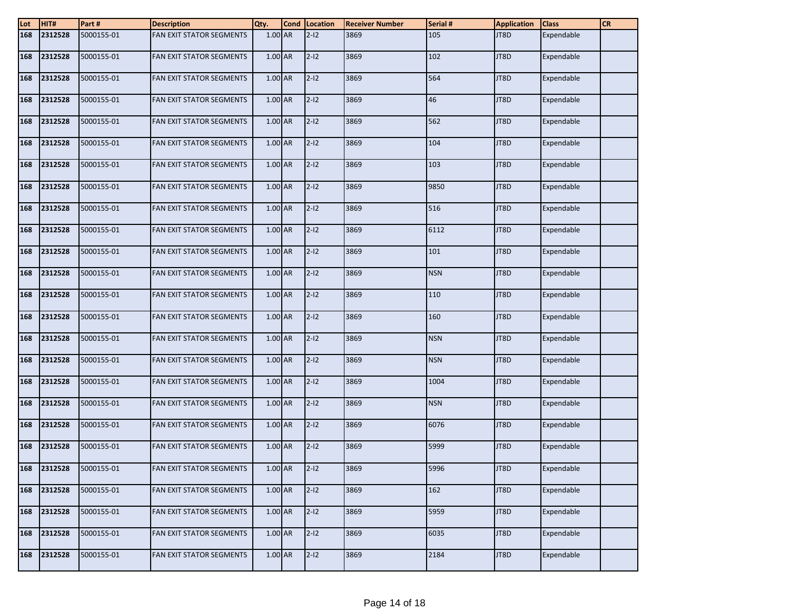| Lot | HIT#    | Part#      | <b>Description</b>              | Qty.      | <b>Cond</b> | Location | <b>Receiver Number</b> | Serial #   | <b>Application</b> | <b>Class</b> | <b>CR</b> |
|-----|---------|------------|---------------------------------|-----------|-------------|----------|------------------------|------------|--------------------|--------------|-----------|
| 168 | 2312528 | 5000155-01 | FAN EXIT STATOR SEGMENTS        | $1.00$ AR |             | $2 - 12$ | 3869                   | 105        | JT8D               | Expendable   |           |
| 168 | 2312528 | 5000155-01 | <b>FAN EXIT STATOR SEGMENTS</b> | $1.00$ AR |             | $2 - 12$ | 3869                   | 102        | JT8D               | Expendable   |           |
| 168 | 2312528 | 5000155-01 | <b>FAN EXIT STATOR SEGMENTS</b> | $1.00$ AR |             | $2 - 12$ | 3869                   | 564        | JT8D               | Expendable   |           |
| 168 | 2312528 | 5000155-01 | <b>FAN EXIT STATOR SEGMENTS</b> | 1.00 AR   |             | $2-I2$   | 3869                   | 46         | JT8D               | Expendable   |           |
| 168 | 2312528 | 5000155-01 | <b>FAN EXIT STATOR SEGMENTS</b> | 1.00 AR   |             | $2 - 12$ | 3869                   | 562        | JT8D               | Expendable   |           |
| 168 | 2312528 | 5000155-01 | <b>FAN EXIT STATOR SEGMENTS</b> | 1.00 AR   |             | $2 - 12$ | 3869                   | 104        | JT8D               | Expendable   |           |
| 168 | 2312528 | 5000155-01 | FAN EXIT STATOR SEGMENTS        | 1.00 AR   |             | $2 - 12$ | 3869                   | 103        | JT8D               | Expendable   |           |
| 168 | 2312528 | 5000155-01 | <b>FAN EXIT STATOR SEGMENTS</b> | 1.00 AR   |             | $2 - 12$ | 3869                   | 9850       | JT8D               | Expendable   |           |
| 168 | 2312528 | 5000155-01 | FAN EXIT STATOR SEGMENTS        | 1.00 AR   |             | $2 - 12$ | 3869                   | 516        | JT8D               | Expendable   |           |
| 168 | 2312528 | 5000155-01 | FAN EXIT STATOR SEGMENTS        | 1.00 AR   |             | $2 - 12$ | 3869                   | 6112       | JT8D               | Expendable   |           |
| 168 | 2312528 | 5000155-01 | FAN EXIT STATOR SEGMENTS        | 1.00 AR   |             | $2 - 12$ | 3869                   | 101        | JT8D               | Expendable   |           |
| 168 | 2312528 | 5000155-01 | <b>FAN EXIT STATOR SEGMENTS</b> | 1.00 AR   |             | $2 - 12$ | 3869                   | <b>NSN</b> | JT8D               | Expendable   |           |
| 168 | 2312528 | 5000155-01 | FAN EXIT STATOR SEGMENTS        | $1.00$ AR |             | $2 - 12$ | 3869                   | 110        | JT8D               | Expendable   |           |
| 168 | 2312528 | 5000155-01 | <b>FAN EXIT STATOR SEGMENTS</b> | 1.00 AR   |             | $2 - 12$ | 3869                   | 160        | JT8D               | Expendable   |           |
| 168 | 2312528 | 5000155-01 | <b>FAN EXIT STATOR SEGMENTS</b> | $1.00$ AR |             | $2 - 12$ | 3869                   | <b>NSN</b> | JT8D               | Expendable   |           |
| 168 | 2312528 | 5000155-01 | FAN EXIT STATOR SEGMENTS        | 1.00 AR   |             | $2 - 12$ | 3869                   | <b>NSN</b> | JT8D               | Expendable   |           |
| 168 | 2312528 | 5000155-01 | FAN EXIT STATOR SEGMENTS        | 1.00 AR   |             | $2 - 12$ | 3869                   | 1004       | JT8D               | Expendable   |           |
| 168 | 2312528 | 5000155-01 | FAN EXIT STATOR SEGMENTS        | 1.00 AR   |             | $2 - 12$ | 3869                   | <b>NSN</b> | JT8D               | Expendable   |           |
| 168 | 2312528 | 5000155-01 | <b>FAN EXIT STATOR SEGMENTS</b> | 1.00 AR   |             | $2 - 12$ | 3869                   | 6076       | JT8D               | Expendable   |           |
| 168 | 2312528 | 5000155-01 | <b>FAN EXIT STATOR SEGMENTS</b> | $1.00$ AR |             | $2 - 12$ | 3869                   | 5999       | JT8D               | Expendable   |           |
| 168 | 2312528 | 5000155-01 | <b>FAN EXIT STATOR SEGMENTS</b> | $1.00$ AR |             | $2 - 12$ | 3869                   | 5996       | JT8D               | Expendable   |           |
| 168 | 2312528 | 5000155-01 | FAN EXIT STATOR SEGMENTS        | $1.00$ AR |             | $2 - 12$ | 3869                   | 162        | JT8D               | Expendable   |           |
| 168 | 2312528 | 5000155-01 | <b>FAN EXIT STATOR SEGMENTS</b> | 1.00 AR   |             | $2 - 12$ | 3869                   | 5959       | JT8D               | Expendable   |           |
| 168 | 2312528 | 5000155-01 | FAN EXIT STATOR SEGMENTS        | $1.00$ AR |             | $2 - 12$ | 3869                   | 6035       | JT8D               | Expendable   |           |
| 168 | 2312528 | 5000155-01 | FAN EXIT STATOR SEGMENTS        | $1.00$ AR |             | $2 - 12$ | 3869                   | 2184       | JT8D               | Expendable   |           |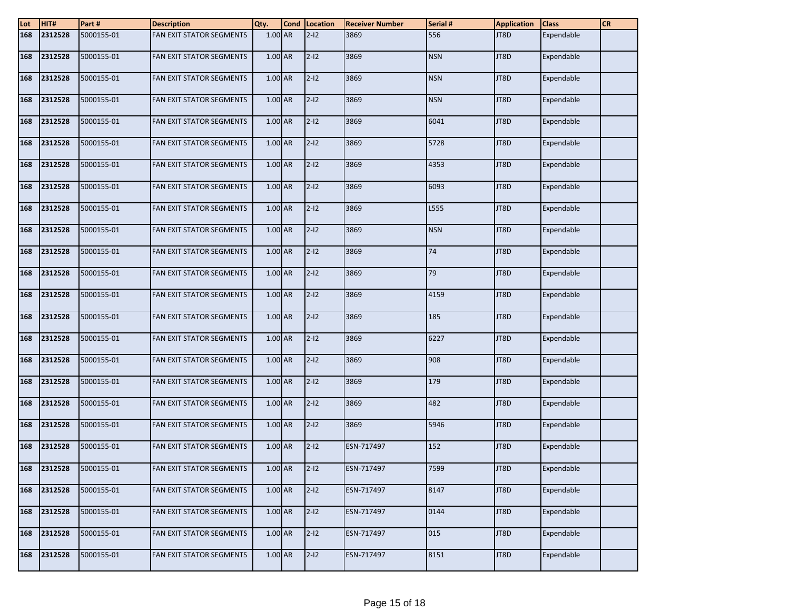| Lot | HIT#        | Part#      | <b>Description</b>              | Qty.      | Cond Location | <b>Receiver Number</b> | Serial #   | <b>Application</b> | <b>Class</b> | <b>CR</b> |
|-----|-------------|------------|---------------------------------|-----------|---------------|------------------------|------------|--------------------|--------------|-----------|
| 168 | 2312528     | 5000155-01 | FAN EXIT STATOR SEGMENTS        | 1.00 AR   | $2 - 12$      | 3869                   | 556        | JT8D               | Expendable   |           |
| 168 | 2312528     | 5000155-01 | <b>FAN EXIT STATOR SEGMENTS</b> | 1.00 AR   | $2 - 12$      | 3869                   | <b>NSN</b> | JT8D               | Expendable   |           |
| 168 | 2312528     | 5000155-01 | FAN EXIT STATOR SEGMENTS        | 1.00 AR   | $2 - 12$      | 3869                   | <b>NSN</b> | JT8D               | Expendable   |           |
| 168 | 2312528     | 5000155-01 | FAN EXIT STATOR SEGMENTS        | 1.00 AR   | $2 - 12$      | 3869                   | <b>NSN</b> | JT8D               | Expendable   |           |
| 168 | 2312528     | 5000155-01 | FAN EXIT STATOR SEGMENTS        | 1.00 AR   | $2 - 12$      | 3869                   | 6041       | JT8D               | Expendable   |           |
| 168 | 2312528     | 5000155-01 | <b>FAN EXIT STATOR SEGMENTS</b> | 1.00 AR   | $2 - 12$      | 3869                   | 5728       | JT8D               | Expendable   |           |
| 168 | 2312528     | 5000155-01 | FAN EXIT STATOR SEGMENTS        | 1.00 AR   | $2 - 12$      | 3869                   | 4353       | JT8D               | Expendable   |           |
| 168 | 2312528     | 5000155-01 | <b>FAN EXIT STATOR SEGMENTS</b> | 1.00 AR   | $2 - 12$      | 3869                   | 6093       | JT8D               | Expendable   |           |
| 168 | 2312528     | 5000155-01 | FAN EXIT STATOR SEGMENTS        | 1.00 AR   | $2 - 12$      | 3869                   | L555       | JT8D               | Expendable   |           |
| 168 | 2312528     | 5000155-01 | FAN EXIT STATOR SEGMENTS        | 1.00 AR   | $2 - 12$      | 3869                   | <b>NSN</b> | JT8D               | Expendable   |           |
| 168 | 2312528     | 5000155-01 | FAN EXIT STATOR SEGMENTS        | 1.00 AR   | $2 - 12$      | 3869                   | 74         | JT8D               | Expendable   |           |
| 168 | 2312528     | 5000155-01 | FAN EXIT STATOR SEGMENTS        | 1.00 AR   | $2-I2$        | 3869                   | 79         | JT8D               | Expendable   |           |
| 168 | 2312528     | 5000155-01 | FAN EXIT STATOR SEGMENTS        | 1.00 AR   | $2 - 12$      | 3869                   | 4159       | JT8D               | Expendable   |           |
| 168 | 2312528     | 5000155-01 | FAN EXIT STATOR SEGMENTS        | $1.00$ AR | $2 - 12$      | 3869                   | 185        | JT8D               | Expendable   |           |
| 168 | 2312528     | 5000155-01 | FAN EXIT STATOR SEGMENTS        | 1.00 AR   | $2 - 12$      | 3869                   | 6227       | JT8D               | Expendable   |           |
| 168 | 2312528     | 5000155-01 | FAN EXIT STATOR SEGMENTS        | 1.00 AR   | $2 - 12$      | 3869                   | 908        | JT8D               | Expendable   |           |
| 168 | 2312528     | 5000155-01 | FAN EXIT STATOR SEGMENTS        | 1.00 AR   | $2 - 12$      | 3869                   | 179        | JT8D               | Expendable   |           |
| 168 | 2312528     | 5000155-01 | FAN EXIT STATOR SEGMENTS        | 1.00 AR   | $2 - 12$      | 3869                   | 482        | JT8D               | Expendable   |           |
| 168 | 2312528     | 5000155-01 | FAN EXIT STATOR SEGMENTS        | 1.00 AR   | $2 - 12$      | 3869                   | 5946       | JT8D               | Expendable   |           |
| 168 | 2312528     | 5000155-01 | <b>FAN EXIT STATOR SEGMENTS</b> | 1.00 AR   | $2-I2$        | ESN-717497             | 152        | JT8D               | Expendable   |           |
|     | 168 2312528 | 5000155-01 | FAN EXIT STATOR SEGMENTS        | $1.00$ AR | $ 2-12 $      | ESN-717497             | 7599       | JT8D               | Expendable   |           |
| 168 | 2312528     | 5000155-01 | FAN EXIT STATOR SEGMENTS        | 1.00 AR   | $2-I2$        | ESN-717497             | 8147       | JT8D               | Expendable   |           |
| 168 | 2312528     | 5000155-01 | FAN EXIT STATOR SEGMENTS        | 1.00 AR   | $2 - 12$      | ESN-717497             | 0144       | JT8D               | Expendable   |           |
| 168 | 2312528     | 5000155-01 | <b>FAN EXIT STATOR SEGMENTS</b> | 1.00 AR   | $2 - 12$      | ESN-717497             | 015        | JT8D               | Expendable   |           |
| 168 | 2312528     | 5000155-01 | <b>FAN EXIT STATOR SEGMENTS</b> | 1.00 AR   | $2 - 12$      | ESN-717497             | 8151       | JT8D               | Expendable   |           |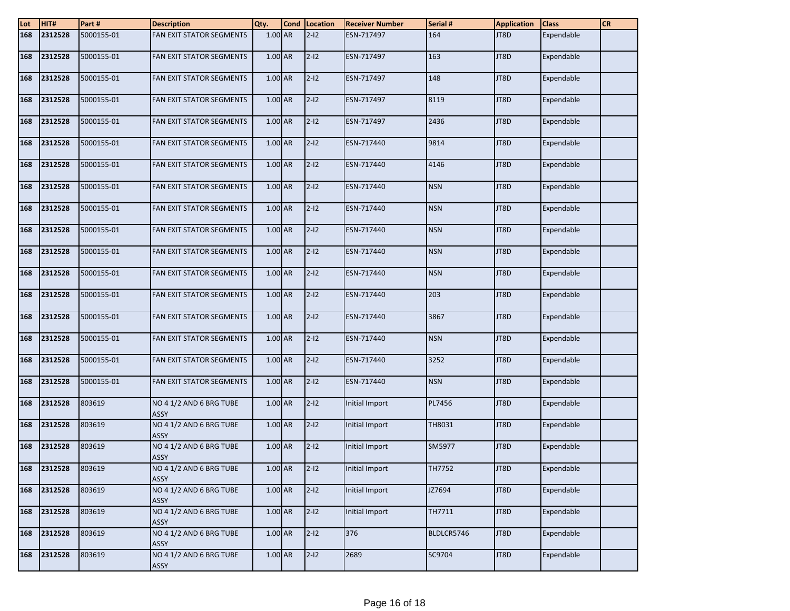| Lot | HIT#        | Part#      | <b>Description</b>                     | Qty.      | <b>Cond</b> | Location | <b>Receiver Number</b> | Serial #      | <b>Application</b> | <b>Class</b> | <b>CR</b> |
|-----|-------------|------------|----------------------------------------|-----------|-------------|----------|------------------------|---------------|--------------------|--------------|-----------|
| 168 | 2312528     | 5000155-01 | FAN EXIT STATOR SEGMENTS               | 1.00 AR   |             | $2 - 12$ | ESN-717497             | 164           | JT8D               | Expendable   |           |
| 168 | 2312528     | 5000155-01 | <b>FAN EXIT STATOR SEGMENTS</b>        | 1.00 AR   |             | $2 - 12$ | ESN-717497             | 163           | JT8D               | Expendable   |           |
| 168 | 2312528     | 5000155-01 | FAN EXIT STATOR SEGMENTS               | 1.00 AR   |             | $2 - 12$ | ESN-717497             | 148           | JT8D               | Expendable   |           |
| 168 | 2312528     | 5000155-01 | FAN EXIT STATOR SEGMENTS               | 1.00 AR   |             | $2 - 12$ | ESN-717497             | 8119          | JT8D               | Expendable   |           |
| 168 | 2312528     | 5000155-01 | FAN EXIT STATOR SEGMENTS               | 1.00 AR   |             | $2 - 12$ | ESN-717497             | 2436          | JT8D               | Expendable   |           |
| 168 | 2312528     | 5000155-01 | <b>FAN EXIT STATOR SEGMENTS</b>        | 1.00 AR   |             | $2 - 12$ | ESN-717440             | 9814          | JT8D               | Expendable   |           |
| 168 | 2312528     | 5000155-01 | FAN EXIT STATOR SEGMENTS               | 1.00 AR   |             | $2 - 12$ | ESN-717440             | 4146          | JT8D               | Expendable   |           |
| 168 | 2312528     | 5000155-01 | FAN EXIT STATOR SEGMENTS               | 1.00 AR   |             | $2 - 12$ | ESN-717440             | <b>NSN</b>    | JT8D               | Expendable   |           |
| 168 | 2312528     | 5000155-01 | FAN EXIT STATOR SEGMENTS               | 1.00 AR   |             | $2 - 12$ | ESN-717440             | <b>NSN</b>    | JT8D               | Expendable   |           |
| 168 | 2312528     | 5000155-01 | FAN EXIT STATOR SEGMENTS               | 1.00 AR   |             | $2 - 12$ | ESN-717440             | <b>NSN</b>    | JT8D               | Expendable   |           |
| 168 | 2312528     | 5000155-01 | FAN EXIT STATOR SEGMENTS               | 1.00 AR   |             | $2-I2$   | ESN-717440             | <b>NSN</b>    | JT8D               | Expendable   |           |
| 168 | 2312528     | 5000155-01 | FAN EXIT STATOR SEGMENTS               | 1.00 AR   |             | $2 - 12$ | ESN-717440             | <b>NSN</b>    | JT8D               | Expendable   |           |
| 168 | 2312528     | 5000155-01 | FAN EXIT STATOR SEGMENTS               | $1.00$ AR |             | $2 - 12$ | ESN-717440             | 203           | JT8D               | Expendable   |           |
| 168 | 2312528     | 5000155-01 | <b>FAN EXIT STATOR SEGMENTS</b>        | 1.00 AR   |             | $2 - 12$ | ESN-717440             | 3867          | JT8D               | Expendable   |           |
| 168 | 2312528     | 5000155-01 | FAN EXIT STATOR SEGMENTS               | 1.00 AR   |             | $2 - 12$ | ESN-717440             | <b>NSN</b>    | JT8D               | Expendable   |           |
| 168 | 2312528     | 5000155-01 | FAN EXIT STATOR SEGMENTS               | 1.00 AR   |             | $2 - 12$ | ESN-717440             | 3252          | JT8D               | Expendable   |           |
| 168 | 2312528     | 5000155-01 | FAN EXIT STATOR SEGMENTS               | 1.00 AR   |             | $2 - 12$ | ESN-717440             | <b>NSN</b>    | JT8D               | Expendable   |           |
| 168 | 2312528     | 803619     | NO 4 1/2 AND 6 BRG TUBE<br><b>ASSY</b> | 1.00 AR   |             | $2 - 12$ | Initial Import         | PL7456        | JT8D               | Expendable   |           |
| 168 | 2312528     | 803619     | NO 4 1/2 AND 6 BRG TUBE<br><b>ASSY</b> | 1.00 AR   |             | $2 - 12$ | Initial Import         | TH8031        | JT8D               | Expendable   |           |
| 168 | 2312528     | 803619     | NO 4 1/2 AND 6 BRG TUBE<br><b>ASSY</b> | 1.00 AR   |             | $2 - 12$ | Initial Import         | SM5977        | JT8D               | Expendable   |           |
|     | 168 2312528 | 803619     | NO 4 1/2 AND 6 BRG TUBE<br><b>ASSY</b> | $1.00$ AR |             | $2-I2$   | Initial Import         | <b>TH7752</b> | JT8D               | Expendable   |           |
| 168 | 2312528     | 803619     | NO 4 1/2 AND 6 BRG TUBE<br><b>ASSY</b> | 1.00 AR   |             | $2 - 12$ | Initial Import         | JZ7694        | JT8D               | Expendable   |           |
| 168 | 2312528     | 803619     | NO 4 1/2 AND 6 BRG TUBE<br>ASSY        | $1.00$ AR |             | $2-I2$   | Initial Import         | TH7711        | JT8D               | Expendable   |           |
| 168 | 2312528     | 803619     | NO 4 1/2 AND 6 BRG TUBE<br><b>ASSY</b> | $1.00$ AR |             | $2 - 12$ | 376                    | BLDLCR5746    | JT8D               | Expendable   |           |
| 168 | 2312528     | 803619     | NO 4 1/2 AND 6 BRG TUBE<br>ASSY        | $1.00$ AR |             | $2-I2$   | 2689                   | SC9704        | JT8D               | Expendable   |           |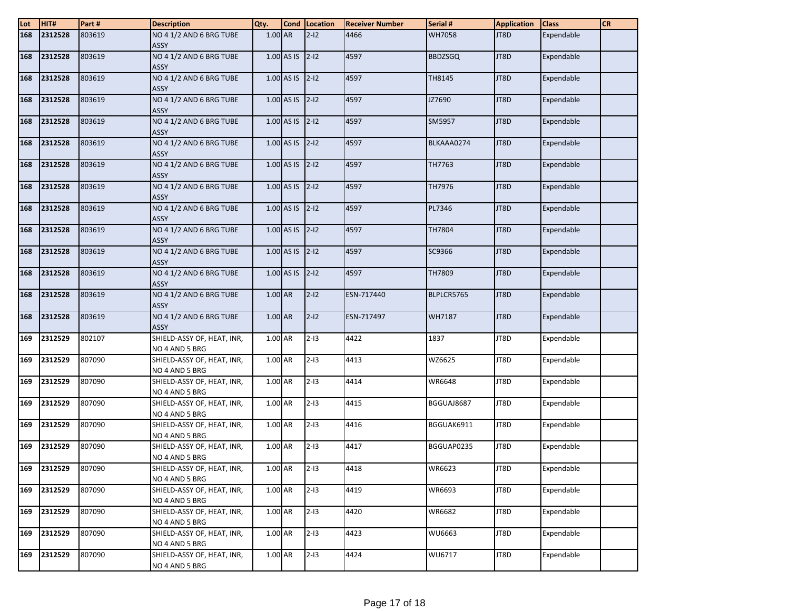| Lot | HIT#        | Part#  | <b>Description</b>                           | Qty.    |            | Cond Location | <b>Receiver Number</b> | Serial #       | <b>Application</b> | <b>Class</b> | <b>CR</b> |
|-----|-------------|--------|----------------------------------------------|---------|------------|---------------|------------------------|----------------|--------------------|--------------|-----------|
| 168 | 2312528     | 803619 | NO 4 1/2 AND 6 BRG TUBE<br><b>ASSY</b>       | 1.00 AR |            | $2 - 12$      | 4466                   | <b>WH7058</b>  | JT8D               | Expendable   |           |
| 168 | 2312528     | 803619 | NO 4 1/2 AND 6 BRG TUBE<br><b>ASSY</b>       |         | 1.00 AS IS | $2-12$        | 4597                   | <b>BBDZSGQ</b> | JT8D               | Expendable   |           |
| 168 | 2312528     | 803619 | NO 4 1/2 AND 6 BRG TUBE<br><b>ASSY</b>       |         | 1.00 AS IS | $2-12$        | 4597                   | TH8145         | JT8D               | Expendable   |           |
| 168 | 2312528     | 803619 | NO 4 1/2 AND 6 BRG TUBE<br><b>ASSY</b>       |         | 1.00 AS IS | $2-12$        | 4597                   | JZ7690         | JT8D               | Expendable   |           |
| 168 | 2312528     | 803619 | NO 4 1/2 AND 6 BRG TUBE<br><b>ASSY</b>       |         | 1.00 AS IS | $2-12$        | 4597                   | SM5957         | JT8D               | Expendable   |           |
| 168 | 2312528     | 803619 | NO 4 1/2 AND 6 BRG TUBE<br><b>ASSY</b>       |         | 1.00 AS IS | $2-12$        | 4597                   | BLKAAA0274     | JT8D               | Expendable   |           |
| 168 | 2312528     | 803619 | NO 4 1/2 AND 6 BRG TUBE<br><b>ASSY</b>       |         | 1.00 AS IS | $2-I2$        | 4597                   | TH7763         | JT8D               | Expendable   |           |
| 168 | 2312528     | 803619 | NO 4 1/2 AND 6 BRG TUBE<br>ASSY              |         | 1.00 AS IS | $ 2-12 $      | 4597                   | TH7976         | JT8D               | Expendable   |           |
| 168 | 2312528     | 803619 | NO 4 1/2 AND 6 BRG TUBE<br><b>ASSY</b>       |         | 1.00 AS IS | $2 - 12$      | 4597                   | PL7346         | JT8D               | Expendable   |           |
| 168 | 2312528     | 803619 | NO 4 1/2 AND 6 BRG TUBE<br><b>ASSY</b>       |         | 1.00 AS IS | $ 2-12 $      | 4597                   | TH7804         | JT8D               | Expendable   |           |
| 168 | 2312528     | 803619 | NO 4 1/2 AND 6 BRG TUBE<br><b>ASSY</b>       |         | 1.00 AS IS | $2-12$        | 4597                   | SC9366         | JT8D               | Expendable   |           |
| 168 | 2312528     | 803619 | NO 4 1/2 AND 6 BRG TUBE<br><b>ASSY</b>       |         | 1.00 AS IS | $ 2-12 $      | 4597                   | TH7809         | JT8D               | Expendable   |           |
| 168 | 2312528     | 803619 | NO 4 1/2 AND 6 BRG TUBE<br><b>ASSY</b>       | 1.00 AR |            | $2 - 12$      | ESN-717440             | BLPLCR5765     | JT8D               | Expendable   |           |
| 168 | 2312528     | 803619 | NO 4 1/2 AND 6 BRG TUBE<br><b>ASSY</b>       | 1.00 AR |            | $2 - 12$      | ESN-717497             | WH7187         | JT8D               | Expendable   |           |
| 169 | 2312529     | 802107 | SHIELD-ASSY OF, HEAT, INR,<br>NO 4 AND 5 BRG | 1.00 AR |            | $2 - 13$      | 4422                   | 1837           | JT8D               | Expendable   |           |
| 169 | 2312529     | 807090 | SHIELD-ASSY OF, HEAT, INR,<br>NO 4 AND 5 BRG | 1.00 AR |            | $2 - 13$      | 4413                   | WZ6625         | JT8D               | Expendable   |           |
| 169 | 2312529     | 807090 | SHIELD-ASSY OF, HEAT, INR,<br>NO 4 AND 5 BRG | 1.00 AR |            | $2 - 13$      | 4414                   | WR6648         | JT8D               | Expendable   |           |
| 169 | 2312529     | 807090 | SHIELD-ASSY OF, HEAT, INR,<br>NO 4 AND 5 BRG | 1.00 AR |            | $2 - 13$      | 4415                   | BGGUAJ8687     | JT8D               | Expendable   |           |
| 169 | 2312529     | 807090 | SHIELD-ASSY OF, HEAT, INR,<br>NO 4 AND 5 BRG | 1.00 AR |            | $2 - 13$      | 4416                   | BGGUAK6911     | JT8D               | Expendable   |           |
| 169 | 2312529     | 807090 | SHIELD-ASSY OF, HEAT, INR,<br>NO 4 AND 5 BRG | 1.00 AR |            | $2 - 13$      | 4417                   | BGGUAP0235     | JT8D               | Expendable   |           |
|     | 169 2312529 | 807090 | SHIELD-ASSY OF, HEAT, INR,<br>NO 4 AND 5 BRG | 1.00 AR |            | $2 - 13$      | 4418                   | <b>WR6623</b>  | JT8D               | Expendable   |           |
| 169 | 2312529     | 807090 | SHIELD-ASSY OF, HEAT, INR,<br>NO 4 AND 5 BRG | 1.00 AR |            | $2 - 13$      | 4419                   | WR6693         | JT8D               | Expendable   |           |
| 169 | 2312529     | 807090 | SHIELD-ASSY OF, HEAT, INR,<br>NO 4 AND 5 BRG | 1.00 AR |            | $2 - 13$      | 4420                   | WR6682         | JT8D               | Expendable   |           |
| 169 | 2312529     | 807090 | SHIELD-ASSY OF, HEAT, INR,<br>NO 4 AND 5 BRG | 1.00 AR |            | $2 - 13$      | 4423                   | WU6663         | JT8D               | Expendable   |           |
| 169 | 2312529     | 807090 | SHIELD-ASSY OF, HEAT, INR,<br>NO 4 AND 5 BRG | 1.00 AR |            | $2 - 13$      | 4424                   | WU6717         | JT8D               | Expendable   |           |